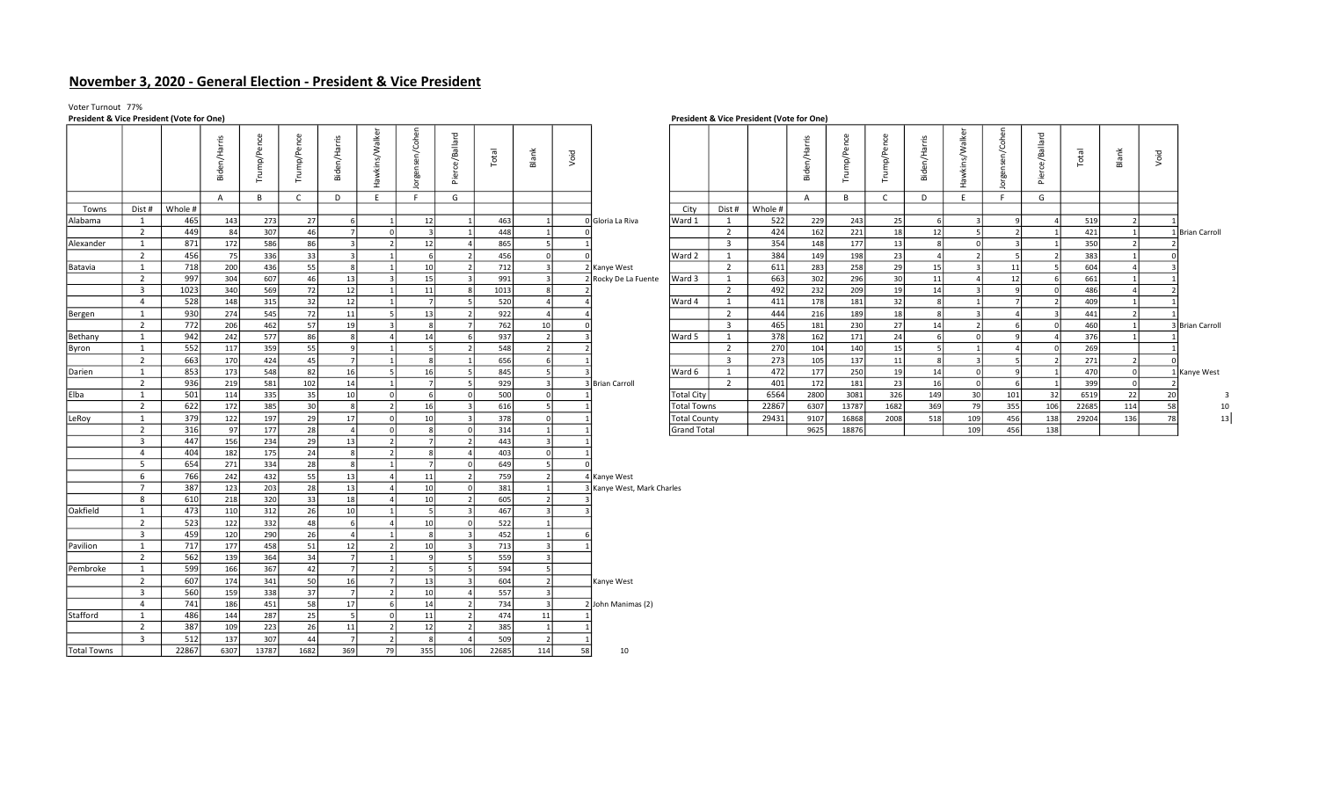# November 3, 2020 - General Election - President & Vice President

# Voter Turnout 77%<br>President & Vice President (Vote for One)

| President & Vice President (Vote for One) |                                           |             |              |             |              |                   |                         |                  |                              |             |                  |      |                            |                     |                         | President & Vice President (Vote for Une) |              |            |              |                |                     |                 |                     |            |                |      |                 |
|-------------------------------------------|-------------------------------------------|-------------|--------------|-------------|--------------|-------------------|-------------------------|------------------|------------------------------|-------------|------------------|------|----------------------------|---------------------|-------------------------|-------------------------------------------|--------------|------------|--------------|----------------|---------------------|-----------------|---------------------|------------|----------------|------|-----------------|
|                                           |                                           |             | Biden/Harris | Trump/Pence | Trump/Pence  | Biden/Harris      | Hawkins/Walker          | Jorgensen/Cohen  | Pierce/Ballard               | Total       | Blank            | Void |                            |                     |                         |                                           | Biden/Harris | rump/Pence | Trump/Pence  | Biden/Harris   | awkins/Walker<br>Œ. | Jorgensen/Cohen | allard<br>Pierce/Ba | Total      | Blank          | Void |                 |
|                                           |                                           |             | $\mathsf{A}$ | B           | $\mathsf{C}$ | D                 | E                       | F.               | G                            |             |                  |      |                            |                     |                         |                                           | $\mathsf{A}$ | B          | $\mathsf{C}$ | D              | E.                  | F.              | G                   |            |                |      |                 |
| Towns                                     | Dist #                                    | Whole #     |              |             |              |                   |                         |                  |                              |             |                  |      |                            | City                | Dist #                  | Whole #                                   |              |            |              |                |                     |                 |                     |            |                |      |                 |
| Alabama                                   | 1                                         | 465         | 143          | 273         | 27           |                   | $\mathbf{1}$            | 12               | $\overline{1}$               | 463         | 1                |      | 0 Gloria La Riva           | Ward 1              | 1                       | 522                                       | 229          | 243        | 25           | -6             |                     |                 |                     | 519        | $\overline{2}$ |      |                 |
|                                           | $\overline{2}$                            | 449         | 84           | 307         | 46           | 7                 | 0                       | $\vert$ 3        |                              | 448         |                  |      |                            |                     | $\overline{2}$          | 424                                       | 162          | 221        | 18           | 12             |                     |                 |                     | 421        | $\overline{1}$ |      | 1 Brian Carroll |
| Alexander                                 | $\mathbf{1}$                              | 871         | 172          | 586         | 86           | $\vert$ 3         | $\overline{2}$          | 12               |                              | 865         | 5                |      |                            |                     | $\overline{\mathbf{3}}$ | 354                                       | 148          | 177        | 13           | 8              | $\Omega$            |                 |                     | 350        | $\overline{2}$ |      |                 |
|                                           | $\overline{2}$                            | 456         | 75           | 336         | 33           | $\vert$ 3         | $\overline{1}$          | $6 \overline{6}$ | $\overline{2}$               | 456         | 0                |      |                            | Ward 2              | 1                       | 384                                       | 149          | 198        | 23           | $\overline{a}$ |                     |                 |                     | 383        |                |      |                 |
| Batavia                                   | $\mathbf{1}$                              | 718         | 200          | 436         | 55           | $\lvert 8 \rvert$ | $\mathbf{1}$            | 10               | $\overline{2}$               | 712         | $\vert$ 3        |      | 2 Kanye West               |                     | $\overline{2}$          | 611                                       | 283          | 258        | 29           | 15             |                     | 11              |                     | 604        |                |      |                 |
|                                           | $\overline{2}$<br>$\overline{\mathbf{3}}$ | 997<br>1023 | 304          | 607<br>569  | 46           | 13<br>12          | $\overline{\mathbf{3}}$ | 15<br>11         | $\overline{\mathbf{3}}$<br>8 | 991         | 3<br>8           |      | 2 Rocky De La Fuente       | Ward 3              | 1<br>$\overline{2}$     | 663<br>492                                | 302<br>232   | 296        | 30<br>19     | 11<br>14       |                     | 12              | -6                  | 661        |                |      |                 |
|                                           | $\overline{4}$                            | 528         | 340<br>148   | 315         | 72<br>32     | 12                | $\mathbf{1}$            | - 7 I            | 5                            | 1013<br>520 | 4                |      |                            | Ward 4              | 1                       | 411                                       | 178          | 209<br>181 | 32           | 8              |                     |                 |                     | 486<br>409 |                |      |                 |
| Bergen                                    | $\mathbf{1}$                              | 930         | 274          | 545         | 72           | 11                | 5                       | 13               | $\overline{2}$               | 922         | 4                |      |                            |                     | 2                       | 444                                       | 216          | 189        | 18           | 8              |                     |                 |                     | 441        | $\overline{2}$ |      |                 |
|                                           | $\overline{2}$                            | 772         | 206          | 462         | 57           | 19                | $\overline{\mathbf{3}}$ | $\mathbf{g}$     | 7                            | 762         | 10               |      |                            |                     | $\overline{\mathbf{3}}$ | 465                                       | 181          | 230        | 27           | 14             |                     | 6               |                     | 460        | $\mathbf{1}$   |      | 3 Brian Carroll |
| Bethany                                   | $\mathbf{1}$                              | 942         | 242          | 577         | 86           | $\lvert 8 \rvert$ | $\overline{4}$          | 14               | $6 \mid$                     | 937         | 2                |      |                            | Ward 5              | 1                       | 378                                       | 162          | 171        | 24           | 6              | $\Omega$            |                 |                     | 376        |                |      |                 |
| Byron                                     | 1                                         | 552         | 117          | 359         | 55           | $\mathbf{q}$      | $1\vert$                | -5               | 2                            | 548         | 2                |      |                            |                     | 2                       | 270                                       | 104          | 140        | 15           |                |                     |                 |                     | 269        |                |      |                 |
|                                           | $\overline{2}$                            | 663         | 170          | 424         | 45           | 7                 | 1                       | 8                | 1                            | 656         | 6                |      |                            |                     | $\overline{\mathbf{3}}$ | 273                                       | 105          | 137        | 11           | 8              | $\mathbf{R}$        |                 |                     | 271        | $\overline{2}$ |      |                 |
| Darien                                    | 1                                         | 853         | 173          | 548         | 82           | 16                | 5                       | 16               | 5                            | 845         | -51              |      |                            | Ward 6              | 1                       | 472                                       | 177          | 250        | 19           | 14             | - 0                 |                 |                     | 470        | $\circ$        |      | 1 Kanye West    |
|                                           | $\overline{2}$                            | 936         | 219          | 581         | 102          | 14                |                         | $\overline{7}$   | 5                            | 929         | 3                |      | 3 Brian Carroll            |                     | $\overline{2}$          | 401                                       | 172          | 181        | 23           | 16             |                     |                 |                     | 399        | $\Omega$       |      |                 |
| Elba                                      | 1                                         | 501         | 114          | 335         | 35           | 10                | 0                       | <sup>6</sup>     | $\circ$                      | 500         | 0                |      |                            | Total City          |                         | 6564                                      | 2800         | 3081       | 326          | 149            | 30                  | 101             | 32                  | 6519       | 22             | 20   | -3              |
|                                           | $\overline{2}$                            | 622         | 172          | 385         | 30           | 8                 | $\overline{2}$          | 16               | $\overline{\mathbf{3}}$      | 616         | 5                |      |                            | <b>Total Towns</b>  |                         | 22867                                     | 6307         | 13787      | 1682         | 369            | 79                  | 355             | 106                 | 22685      | 114            | 58   | 10              |
| LeRoy                                     | 1                                         | 379         | 122          | 197         | 29           | 17                | 0                       | 10 <sup>1</sup>  | $\overline{\mathbf{3}}$      | 378         | 0                |      |                            | <b>Total County</b> |                         | 29431                                     | 9107         | 16868      | 2008         | 518            | 109                 | 456             | 138                 | 29204      | 136            | 78   | 13              |
|                                           | $\overline{2}$                            | 316         | 97           | 177         | 28           | $\overline{4}$    | 0                       | 8                | 0                            | 314         |                  |      |                            | Grand Total         |                         |                                           | 9625         | 18876      |              |                | 109                 | 456             | 138                 |            |                |      |                 |
|                                           | $\overline{3}$                            | 447         | 156          | 234         | 29           | 13                | $\overline{2}$          | $\overline{7}$   | $\overline{2}$               | 443         | -31              |      |                            |                     |                         |                                           |              |            |              |                |                     |                 |                     |            |                |      |                 |
|                                           | $\overline{4}$                            | 404         | 182          | 175         | 24           | $\lvert 8 \rvert$ | $\overline{2}$          | 8                | $\overline{a}$               | 403         | 0                |      |                            |                     |                         |                                           |              |            |              |                |                     |                 |                     |            |                |      |                 |
|                                           | 5                                         | 654         | 271          | 334         | 28           | 8                 | $1\vert$                | - 7 I            | 0                            | 649         | 5                |      |                            |                     |                         |                                           |              |            |              |                |                     |                 |                     |            |                |      |                 |
|                                           | 6                                         | 766         | 242          | 432         | 55           | 13                |                         | 11               | $\overline{2}$               | 759         | 2                |      | 4 Kanye West               |                     |                         |                                           |              |            |              |                |                     |                 |                     |            |                |      |                 |
|                                           | $7^{\circ}$<br>8                          | 387<br>610  | 123          | 203<br>320  | 28           | 13                | $\overline{4}$          | 10 <sup>1</sup>  | $\circ$<br>2                 | 381<br>605  | 1<br>2           |      | 3 Kanye West, Mark Charles |                     |                         |                                           |              |            |              |                |                     |                 |                     |            |                |      |                 |
| Oakfield                                  | 1                                         | 473         | 218<br>110   | 312         | 33<br>26     | 18<br>10          | $1\vert$                | 10<br>-5         | $\overline{\mathbf{3}}$      | 467         | $\vert$ 3        |      |                            |                     |                         |                                           |              |            |              |                |                     |                 |                     |            |                |      |                 |
|                                           | $\overline{2}$                            | 523         | 122          | 332         | 48           | 6                 | $\overline{a}$          | 10               | 0                            | 522         | $\mathbf{1}$     |      |                            |                     |                         |                                           |              |            |              |                |                     |                 |                     |            |                |      |                 |
|                                           | $\overline{3}$                            | 459         | 120          | 290         | 26           |                   | $\mathbf{1}$            | 8                | $\overline{\mathbf{3}}$      | 452         | 1                |      |                            |                     |                         |                                           |              |            |              |                |                     |                 |                     |            |                |      |                 |
| Pavilion                                  | 1                                         | 717         | 177          | 458         | 51           | 12                | 2                       | 10 <sup>1</sup>  | 3                            | 713         | $\vert$ 3        |      |                            |                     |                         |                                           |              |            |              |                |                     |                 |                     |            |                |      |                 |
|                                           | $\overline{2}$                            | 562         | 139          | 364         | 34           | 7                 | $1\vert$                | $\overline{9}$   | 5                            | 559         | $\vert$ 3        |      |                            |                     |                         |                                           |              |            |              |                |                     |                 |                     |            |                |      |                 |
| Pembroke                                  | 1                                         | 599         | 166          | 367         | 42           | 7                 | $\overline{2}$          | $\overline{5}$   | 5                            | 594         | 5                |      |                            |                     |                         |                                           |              |            |              |                |                     |                 |                     |            |                |      |                 |
|                                           | $\overline{2}$                            | 607         | 174          | 341         | 50           | 16                | 7                       | 13               | $\overline{\mathbf{3}}$      | 604         | 2                |      | Kanye West                 |                     |                         |                                           |              |            |              |                |                     |                 |                     |            |                |      |                 |
|                                           | $\overline{3}$                            | 560         | 159          | 338         | 37           | 7                 | 2                       | 10               | $\Delta$                     | 557         | 3                |      |                            |                     |                         |                                           |              |            |              |                |                     |                 |                     |            |                |      |                 |
|                                           | $\overline{4}$                            | 741         | 186          | 451         | 58           | 17                | 6                       | 14               | $\overline{2}$               | 734         | $\vert$ 3        |      | 2 John Manimas (2)         |                     |                         |                                           |              |            |              |                |                     |                 |                     |            |                |      |                 |
| Stafford                                  | 1                                         | 486         | 144          | 287         | 25           | $5\overline{)}$   | $\circ$                 | 11               | $\overline{2}$               | 474         | 11               |      |                            |                     |                         |                                           |              |            |              |                |                     |                 |                     |            |                |      |                 |
|                                           | 2                                         | 387         | 109          | 223         | 26           | 11                | 21                      | 12               |                              | 385         | 1                |      |                            |                     |                         |                                           |              |            |              |                |                     |                 |                     |            |                |      |                 |
|                                           | $\overline{3}$                            | 512         | 137          | 307         | 44           | 7                 | $\overline{2}$          | 8                | $\overline{4}$               | 509         | $\left  \right $ |      |                            |                     |                         |                                           |              |            |              |                |                     |                 |                     |            |                |      |                 |
| <b>Total Towns</b>                        |                                           | 22867       | 6307         | 13787       | 1682         | 369               | 79                      | 355              | 106                          | 22685       | 114              | 58   | 10                         |                     |                         |                                           |              |            |              |                |                     |                 |                     |            |                |      |                 |

### President & Vice President (Vote for One)

|              | $\sim$     |            | ≥<br>ε    |    | $\zeta$         | $\mathbf{a}$ | <b>lepo</b> | ≚<br>흚          | Void |                      |              |                                  |            | ٠Ě<br>ത    |            | por<br>`∂ | arris<br>$\mathbf{a}$ | 嵩   | Ġ   | $\omega$ | Total      | Bla | Void |                 |
|--------------|------------|------------|-----------|----|-----------------|--------------|-------------|-----------------|------|----------------------|--------------|----------------------------------|------------|------------|------------|-----------|-----------------------|-----|-----|----------|------------|-----|------|-----------------|
|              |            | В          |           |    |                 | G            |             |                 |      |                      |              |                                  |            |            | B          |           | D                     |     |     | G        |            |     |      |                 |
| st # Whole # |            |            |           |    |                 |              |             |                 |      |                      | City         | Dist#                            | Whole #    |            |            |           |                       |     |     |          |            |     |      |                 |
| 465          | 143        | 273        | 27        |    | 12              |              | 463         |                 |      | 0 Gloria La Riva     | Ward 1       |                                  | 522        | 229        | 243        | 25        |                       |     |     |          | 519        |     |      |                 |
| 449          | 84         | 307        | 46        |    |                 |              | 448         |                 |      |                      |              | $\overline{2}$                   | 424        | 162        | 221        |           |                       |     |     |          | 421        |     |      | 1 Brian Carroll |
| 871          | 172        | 586        | 86        |    | 12              |              | 865         |                 |      |                      |              | $\overline{\mathbf{3}}$          | 354        | 148        | 177        |           |                       |     |     |          | 350        |     |      |                 |
| 456          | 75         | 336        | 33        |    |                 |              | 456         |                 |      |                      | Ward 2       |                                  | 384        | 149        | 198        | 23        |                       |     |     |          | 383        |     |      |                 |
| 718          | 200        | 436        | 55        |    | 10 <sup>1</sup> |              | 712         |                 |      | 2 Kanye West         |              | 2                                | 611        | 283        | 258        | 29        | 15                    |     |     |          | 604        |     |      |                 |
| 997          | 304        | 607        | 46        | 13 | 15              |              | 991         |                 |      | 2 Rocky De La Fuente | Ward 3       |                                  | 663        | 302        | 296        | 30        | 11                    |     | 12  |          | 661        |     |      |                 |
| 1023         | 340        | 569        | 72        | 12 | 11              |              | 1013        |                 |      |                      |              | 2                                | 492        | 232        | 209        | 19        | 14                    |     |     |          | 486        |     |      |                 |
| 528          | 148        | 315        | 32        | 12 |                 |              | 520         |                 |      |                      | Ward 4       |                                  | 411        | 178        | 181        | 32        |                       |     |     |          | 409        |     |      |                 |
| 930<br>772   | 274<br>206 | 545<br>462 | 72<br>57  |    | 13              |              | 922<br>762  |                 |      |                      |              | $\overline{2}$<br>$\overline{3}$ | 444<br>465 | 216<br>181 | 189<br>230 | 18<br>27  |                       |     |     |          | 441        |     |      |                 |
| 942          | 242        |            | 86        |    | 14              |              |             | 10 <sup>1</sup> |      |                      | Ward 5       |                                  | 378        |            |            | 24        | 14                    |     |     |          | 460<br>376 |     |      | 3 Brian Carroll |
| 552          | 117        | 577<br>359 | 55        |    |                 |              | 937<br>548  |                 |      |                      |              | $\overline{2}$                   | 270        | 162<br>104 | 171<br>140 | 15        |                       |     |     |          | 269        |     |      |                 |
| 663          | 170        | 424        | 45        |    |                 |              | 656         |                 |      |                      |              | 3                                | 273        | 105        | 137        | 11        |                       |     |     |          | 271        |     |      |                 |
| 853          | 173        | 548        | 82        |    | 16              |              | 845         |                 |      |                      | Ward 6       |                                  | 472        | 177        | 250        | 19        | 14                    |     |     |          | 470        |     |      | 1 Kanye West    |
| 936          | 219        | 581        | 102       |    |                 |              | 929         |                 |      | 3 Brian Carroll      |              | $\overline{2}$                   | 401        | 172        | 181        | 23        | 16                    |     |     |          | 399        |     |      |                 |
| 501          | 114        | 335        | 35        |    |                 |              | 500         |                 |      |                      | Total City   |                                  | 6564       | 2800       | 3081       | 326       | 149                   | 30  | 101 | 32       | 6519       | 22  | 20   |                 |
| 622          | 172        | 385        | 30        |    | 16              |              | 616         |                 |      |                      | Total Towns  |                                  | 22867      | 6307       | 13787      | 1682      | 369                   | 79  | 355 | 106      | 22685      | 114 | 58   |                 |
| 379          | 122        | 197        | 29        |    | 10 <sup>1</sup> |              | 378         |                 |      |                      | Total County |                                  | 29431      | 9107       | 16868      | 2008      | 518                   | 109 | 456 | 138      | 29204      | 136 |      | 13              |
| 316          | 97         | 177        | <b>28</b> |    |                 |              | 314         |                 |      |                      | Grand Total  |                                  |            | 9625       | 18876      |           |                       | 109 | 456 | 138      |            |     |      |                 |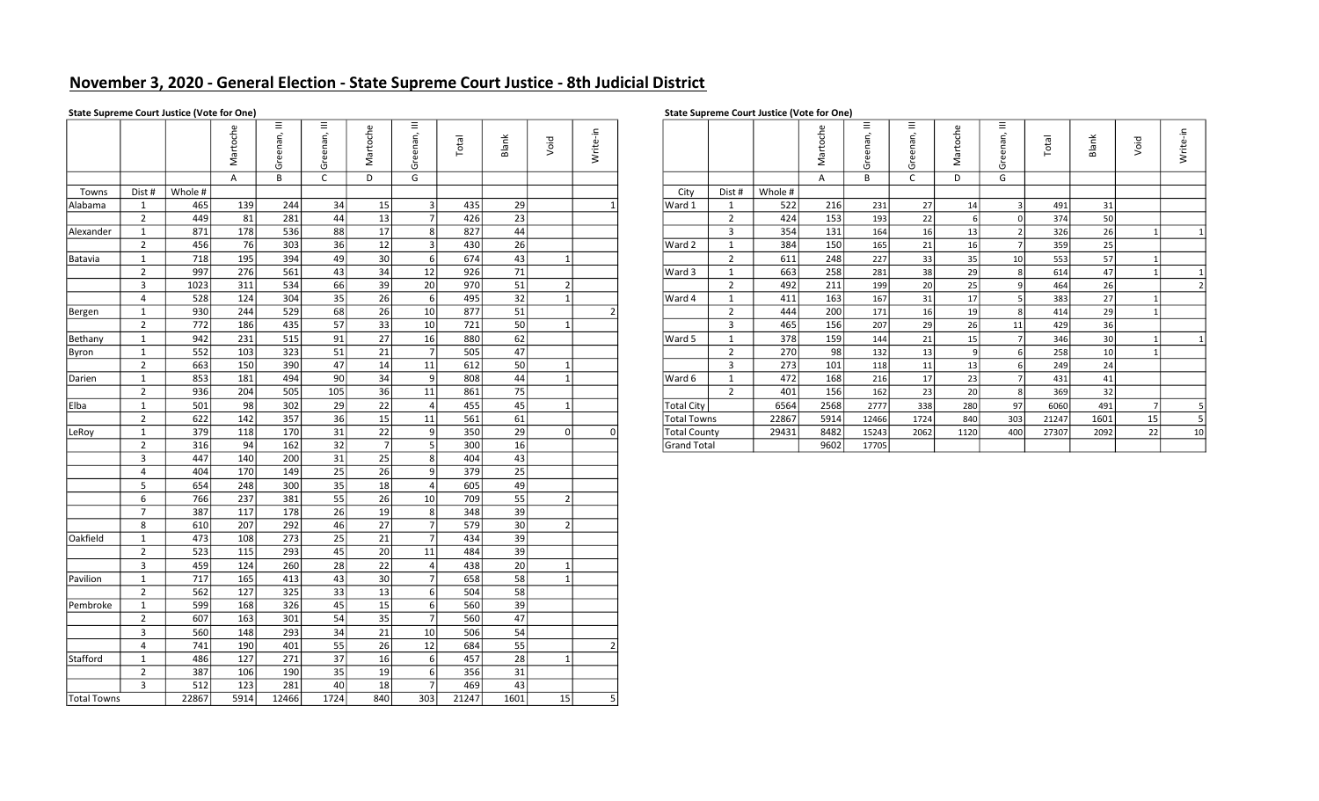# November 3, 2020 - General Election - State Supreme Court Justice - 8th Judicial District

|                    |                |                  | Martoche     | Greenan, III    | Greenan, III | Martoche        | E.<br>Greenan, I | Total | Blank | Void          | Write-in      |                     |                |         | Martoche | $\equiv$<br>Greenan, | Greenan, III    | Martoche | Greenan, III            | Total | Blank | Void         | Write-in       |
|--------------------|----------------|------------------|--------------|-----------------|--------------|-----------------|------------------|-------|-------|---------------|---------------|---------------------|----------------|---------|----------|----------------------|-----------------|----------|-------------------------|-------|-------|--------------|----------------|
|                    |                |                  | $\mathsf{A}$ | B               | $\mathsf{C}$ | D               | G                |       |       |               |               |                     |                |         | Α        | B                    | C               | D        | G                       |       |       |              |                |
| Towns              | Dist #         | Whole #          |              |                 |              |                 |                  |       |       |               |               | City                | Dist #         | Whole # |          |                      |                 |          |                         |       |       |              |                |
| Alabama            | 1              | 465              | 139          | 244             | 34           | 15              | 3                | 435   | 29    |               |               | Ward 1              | 1              | 522     | 216      | 231                  | 27              | 14       | $\overline{\mathbf{3}}$ | 491   | 31    |              |                |
|                    | $2^{\circ}$    | 449              | 81           | 281             | 44           | 13              | 7 <sup>1</sup>   | 426   | 23    |               |               |                     | $\overline{2}$ | 424     | 153      | 193                  | 22              | 6        | $\mathbf 0$             | 374   | 50    |              |                |
| Alexander          | 1              | 871              | 178          | 536             | 88           | 17              | 8 <sup>1</sup>   | 827   | 44    |               |               |                     | $\overline{3}$ | 354     | 131      | 164                  | 16              | 13       | $\vert$ 2               | 326   | 26    | 11           | 1              |
|                    | $\overline{2}$ | 456              | 76           | 303             | 36           | 12              | 3                | 430   | 26    |               |               | Ward 2              | $\mathbf{1}$   | 384     | 150      | 165                  | 21              | 16       | $\overline{7}$          | 359   | 25    |              |                |
| Batavia            | 1              | 718              | 195          | 394             | 49           | 30              | 6                | 674   | 43    |               |               |                     | $\overline{2}$ | 611     | 248      | 227                  | $\overline{33}$ | 35       | 10                      | 553   | 57    |              |                |
|                    | $\overline{2}$ | 997              | 276          | 561             | 43           | 34              | 12               | 926   | 71    |               |               | Ward 3              | 1              | 663     | 258      | 281                  | 38              | 29       | 8                       | 614   | 47    | 1            | 1              |
|                    | 3              | 1023             | 311          | 534             | 66           | 39              | 20               | 970   | 51    | $\mathcal{P}$ |               |                     | $\overline{2}$ | 492     | 211      | 199                  | 20              | 25       | 9                       | 464   | 26    |              | $\overline{2}$ |
|                    | 4              | 528              | 124          | 304             | 35           | 26              | 6                | 495   | 32    |               |               | Ward 4              | $\mathbf{1}$   | 411     | 163      | 167                  | $\overline{31}$ | 17       | 5                       | 383   | 27    |              |                |
| Bergen             | 1              | 930              | 244          | 529             | 68           | 26              | 10 <sup>1</sup>  | 877   | 51    |               | $\mathcal{P}$ |                     | $\overline{2}$ | 444     | 200      | 171                  | 16              | 19       | 8                       | 414   | 29    |              |                |
|                    | $\overline{2}$ | $\overline{772}$ | 186          | 435             | 57           | 33              | 10               | 721   | 50    | $\mathbf{1}$  |               |                     | $\overline{3}$ | 465     | 156      | 207                  | 29              | 26       | 11                      | 429   | 36    |              |                |
| Bethany            | 1              | 942              | 231          | 515             | 91           | 27              | 16               | 880   | 62    |               |               | Ward 5              | $\mathbf{1}$   | 378     | 159      | 144                  | $\overline{21}$ | 15       | $\overline{7}$          | 346   | 30    | $\mathbf{1}$ |                |
| Byron              | 1              | 552              | 103          | 323             | 51           | 21              | 7                | 505   | 47    |               |               |                     | $\overline{2}$ | 270     | 98       | 132                  | 13              | 9        | 6                       | 258   | 10    |              |                |
|                    | $\overline{2}$ | 663              | 150          | 390             | 47           | 14              | 11               | 612   | 50    |               |               |                     | $\overline{3}$ | 273     | 101      | 118                  | 11              | 13       | $6 \overline{6}$        | 249   | 24    |              |                |
| Darien             | 1              | 853              | 181          | 494             | 90           | 34              | 9                | 808   | 44    |               |               | Ward 6              | $\mathbf{1}$   | 472     | 168      | 216                  | 17              | 23       | $\overline{7}$          | 431   | 41    |              |                |
|                    | $\overline{2}$ | 936              | 204          | 505             | 105          | 36              | 11               | 861   | 75    |               |               |                     | $\overline{2}$ | 401     | 156      | 162                  | 23              | 20       | 8                       | 369   | 32    |              |                |
| Elba               | $\mathbf{1}$   | 501              | 98           | 302             | 29           | 22              | 4 <sup>1</sup>   | 455   | 45    |               |               | <b>Total City</b>   |                | 6564    | 2568     | 2777                 | 338             | 280      | 97                      | 6060  | 491   | 7            | 5              |
|                    | $\overline{2}$ | 622              | 142          | 357             | 36           | 15              | 11               | 561   | 61    |               |               | <b>Total Towns</b>  |                | 22867   | 5914     | 12466                | 1724            | 840      | 303                     | 21247 | 1601  | 15           | $\overline{5}$ |
| LeRoy              | 1              | 379              | 118          | 170             | 31           | 22              | 9 <sup>1</sup>   | 350   | 29    | ΩI            |               | <b>Total County</b> |                | 29431   | 8482     | 15243                | 2062            | 1120     | 400                     | 27307 | 2092  | 22           | 10             |
|                    | $\overline{2}$ | 316              | 94           | $\frac{162}{ }$ | 32           | 7               | 5                | 300   | 16    |               |               | <b>Grand Total</b>  |                |         | 9602     | 17705                |                 |          |                         |       |       |              |                |
|                    | 3              | 447              | 140          | 200             | 31           | 25              | 8 <sup>1</sup>   | 404   | 43    |               |               |                     |                |         |          |                      |                 |          |                         |       |       |              |                |
|                    | 4              | 404              | 170          | 149             | 25           | 26              | 9                | 379   | 25    |               |               |                     |                |         |          |                      |                 |          |                         |       |       |              |                |
|                    | 5              | 654              | 248          | 300             | 35           | 18              | $\vert$          | 605   | 49    |               |               |                     |                |         |          |                      |                 |          |                         |       |       |              |                |
|                    | 6              | 766              | 237          | 381             | 55           | 26              | 10 <sup>1</sup>  | 709   | 55    | 2             |               |                     |                |         |          |                      |                 |          |                         |       |       |              |                |
|                    | $\overline{7}$ | 387              | 117          | 178             | 26           | 19              | 8                | 348   | 39    |               |               |                     |                |         |          |                      |                 |          |                         |       |       |              |                |
|                    | 8              | 610              | 207          | 292             | 46           | 27              | 7                | 579   | 30    | $\mathcal{P}$ |               |                     |                |         |          |                      |                 |          |                         |       |       |              |                |
| Oakfield           | $\mathbf{1}$   | 473              | 108          | 273             | 25           | 21              | 7                | 434   | 39    |               |               |                     |                |         |          |                      |                 |          |                         |       |       |              |                |
|                    | $\overline{2}$ | 523              | 115          | 293             | 45           | 20              | 11               | 484   | 39    |               |               |                     |                |         |          |                      |                 |          |                         |       |       |              |                |
|                    | $\overline{3}$ | 459              | 124          | 260             | 28           | 22              | 4                | 438   | 20    |               |               |                     |                |         |          |                      |                 |          |                         |       |       |              |                |
| Pavilion           | 1              | 717              | 165          | 413             | 43           | 30 <sup>1</sup> | 7                | 658   | 58    |               |               |                     |                |         |          |                      |                 |          |                         |       |       |              |                |
|                    | $2^{\circ}$    | 562              | 127          | 325             | 33           | 13              | 6                | 504   | 58    |               |               |                     |                |         |          |                      |                 |          |                         |       |       |              |                |
| Pembroke           | $\mathbf{1}$   | 599              | 168          | 326             | 45           | 15              | 6                | 560   | 39    |               |               |                     |                |         |          |                      |                 |          |                         |       |       |              |                |
|                    | $\overline{2}$ | 607              | 163          | 301             | 54           | $\overline{35}$ | 7 <sup>1</sup>   | 560   | 47    |               |               |                     |                |         |          |                      |                 |          |                         |       |       |              |                |
|                    | $\overline{3}$ | 560              | 148          | 293             | 34           | 21              | 10               | 506   | 54    |               |               |                     |                |         |          |                      |                 |          |                         |       |       |              |                |
|                    | 4              | 741              | 190          | 401             | 55           | 26              | 12               | 684   | 55    |               |               |                     |                |         |          |                      |                 |          |                         |       |       |              |                |
| Stafford           | 1              | 486              | 127          | 271             | 37           | 16              | 6                | 457   | 28    |               |               |                     |                |         |          |                      |                 |          |                         |       |       |              |                |
|                    | $\overline{2}$ | 387              | 106          | 190             | 35           | 19              | 6                | 356   | 31    |               |               |                     |                |         |          |                      |                 |          |                         |       |       |              |                |
|                    | 3              | 512              | 123          | 281             | 40           | 18              | 7 <sup>1</sup>   | 469   | 43    |               |               |                     |                |         |          |                      |                 |          |                         |       |       |              |                |
| <b>Total Towns</b> |                | 22867            | 5914         | 12466           | 1724         | 840             | 303              | 21247 | 1601  | 15            |               | 5 <sup>1</sup>      |                |         |          |                      |                 |          |                         |       |       |              |                |

# Martoche Greenan, III Greenan, III Greenan, III Greenan, III Greenan, III Greenan, III Martoche Greenan, III Greenan, III Martoche Greenan, III Martoche Greenan, III Martoche Greenan, III Martoche Greenan, III Void Write-i 2 | 997| 276| 561| 43| 34| 12| 926| 71| | | | |Ward 3 | 1 | 663| 258| 281| 38| 29| 8| 614| 47| 1| 1 3 | 1023| 311| 534| 66| 39| 20| 970| 51| 2| | | | | 2 | 492| 211| 199| 20| 25| 9| 464| 26| | 2 4 | 528| 124| 304| 35| 26| 6| 495| 32| 1| | |Ward 4| 1 | 411| 163| 167| 31| 17| 5| 383| 27| 1 2 | 622| 142| 357| 36| 15| 11| 561| 61| | | |Total Towns | 22867| 5914| 12466| 1724| 840| 303| 21247| 1601| 15| 5

### State Supreme Court Justice (Vote for One) State Supreme Court Justice (Vote for One) State Supreme Court Justice (Vote for One)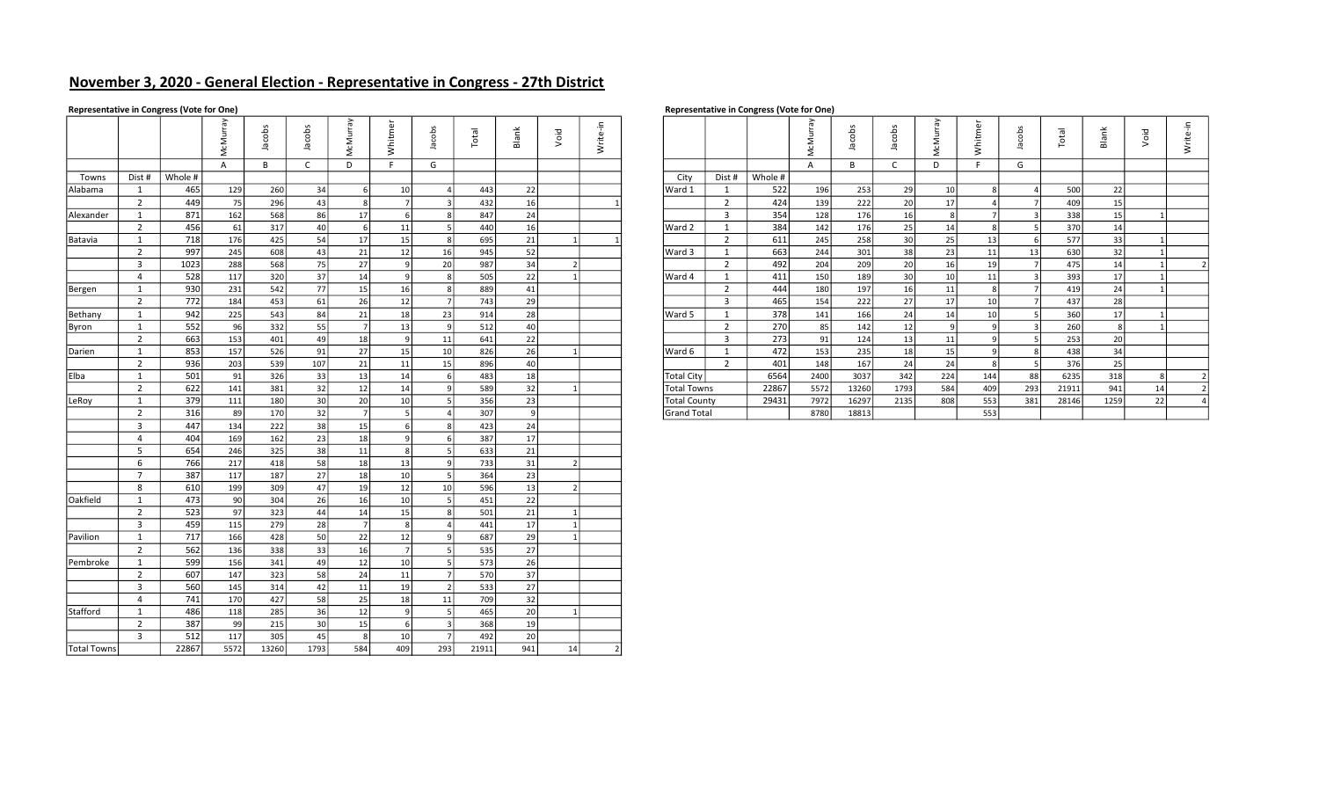# November 3, 2020 - General Election - Representative in Congress - 27th District

### Representative in Congress (Vote for One) and Society and Society and Society and Society and Society and Society and Society and Representative in Congress (Vote for One)

|             |                         |         | McMurray       | Jacobs | Jacobs       | McMurray       | Whitmer         | Jacobs         | Total | Blank           | Void           | Write-in |                |                     |                |         | Γãγ<br>McMurr  | Jacobs | Jacobs       | McMurray        | Whitmer         | Jacobs                  | Total | Blank | Void         | Write-in       |
|-------------|-------------------------|---------|----------------|--------|--------------|----------------|-----------------|----------------|-------|-----------------|----------------|----------|----------------|---------------------|----------------|---------|----------------|--------|--------------|-----------------|-----------------|-------------------------|-------|-------|--------------|----------------|
|             |                         |         | $\overline{A}$ | B      | $\mathsf{C}$ | D              | F               | G              |       |                 |                |          |                |                     |                |         | $\overline{A}$ | B      | $\mathsf{C}$ | D               | F.              | G                       |       |       |              |                |
| Towns       | Dist #                  | Whole # |                |        |              |                |                 |                |       |                 |                |          |                | City                | Dist #         | Whole # |                |        |              |                 |                 |                         |       |       |              |                |
| Alabama     | 1                       | 465     | 129            | 260    | 34           | 6              | 10              | $\overline{4}$ | 443   | 22              |                |          |                | Ward 1              | 1              | 522     | 196            | 253    | 29           | 10              |                 | $\overline{a}$          | 500   | 22    |              |                |
|             | $\overline{2}$          | 449     | 75             | 296    | 43           | 8              | 7               | $\vert$ 3      | 432   | 16              |                |          |                |                     | 2              | 424     | 139            | 222    | 20           | 17              |                 | $\overline{7}$          | 409   | 15    |              |                |
| Alexander   | 1                       | 871     | 162            | 568    | 86           | 17             | 6               | 8              | 847   | 24              |                |          |                |                     | $\overline{3}$ | 354     | 128            | 176    | 16           | 8               |                 | $\overline{3}$          | 338   | 15    |              |                |
|             | $\overline{2}$          | 456     | 61             | 317    | 40           | 6              | 11              | 5              | 440   | 16              |                |          |                | Ward 2              | 1              | 384     | 142            | 176    | 25           | 14              | -81             | -51                     | 370   | 14    |              |                |
| Batavia     | 1                       | 718     | 176            | 425    | 54           | 17             | 15              | 8              | 695   | 21              | 1              |          |                |                     | $\overline{2}$ | 611     | 245            | 258    | 30           | 25              | 13              | 6                       | 577   | 33    |              |                |
|             | $\overline{2}$          | 997     | 245            | 608    | 43           | 21             | 12              | 16             | 945   | 52              |                |          |                | Ward 3              | 1              | 663     | 244            | 301    | 38           | 23              | 11              | 13                      | 630   | 32    |              |                |
|             | $\overline{3}$          | 1023    | 288            | 568    | 75           | 27             | $\overline{9}$  | 20             | 987   | 34              | 2              |          |                |                     | 2              | 492     | 204            | 209    | 20           | 16              | 19              | $\overline{7}$          | 475   | 14    | $\mathbf{1}$ | $\overline{2}$ |
|             | $\overline{4}$          | 528     | 117            | 320    | 37           | 14             | 9               | 8              | 505   | 22              | 1              |          |                | Ward 4              | 1              | 411     | 150            | 189    | 30           | 10 <sup>1</sup> | 11              | $\overline{\mathbf{3}}$ | 393   | 17    | $\mathbf{1}$ |                |
| Bergen      | $\mathbf{1}$            | 930     | 231            | 542    | 77           | 15             | 16              | 8              | 889   | 41              |                |          |                |                     | $\overline{2}$ | 444     | 180            | 197    | 16           | 11              | -81             | $\overline{7}$          | 419   | 24    |              |                |
|             | $\overline{2}$          | 772     | 184            | 453    | 61           | 26             | 12              | - 71           | 743   | 29              |                |          |                |                     | $\overline{3}$ | 465     | 154            | 222    | 27           | 17              | 10 <sup>1</sup> | $\overline{7}$          | 437   | 28    |              |                |
| Bethany     | 1                       | 942     | 225            | 543    | 84           | 21             | 18              | 23             | 914   | 28              |                |          |                | Ward 5              | 1              | 378     | 141            | 166    | 24           | 14              | 10              | 5                       | 360   | 17    |              |                |
| Byron       | $\mathbf{1}$            | 552     | 96             | 332    | 55           | $\overline{7}$ | 13              | او             | 512   | 40              |                |          |                |                     | $\overline{2}$ | 270     | 85             | 142    | 12           | 9               |                 | $\overline{3}$          | 260   | 8     |              |                |
|             | $\overline{2}$          | 663     | 153            | 401    | 49           | 18             | -9              | 11             | 641   | 22              |                |          |                |                     | $\overline{3}$ | 273     | 91             | 124    | 13           | 11              | -91             | 5                       | 253   | 20    |              |                |
| Darien      | 1                       | 853     | 157            | 526    | 91           | 27             | 15              | 10             | 826   | 26              | 1              |          |                | Ward 6              | 1              | 472     | 153            | 235    | 18           | 15              |                 | 8                       | 438   | 34    |              |                |
|             | $\overline{2}$          | 936     | 203            | 539    | 107          | 21             | 11              | 15             | 896   | 40              |                |          |                |                     | 2              | 401     | 148            | 167    | 24           | 24              | -81             | 5                       | 376   | 25    |              |                |
| Elba        | 1                       | 501     | 91             | 326    | 33           | 13             | 14              | 6              | 483   | 18              |                |          |                | <b>Total City</b>   |                | 6564    | 2400           | 3037   | 342          | 224             | 144             | 88                      | 6235  | 318   | 8            | $\overline{2}$ |
|             | $\overline{2}$          | 622     | 141            | 381    | 32           | 12             | 14              | او             | 589   | 32              | $\mathbf{1}$   |          |                | <b>Total Towns</b>  |                | 22867   | 5572           | 13260  | 1793         | 584             | 409             | 293                     | 21911 | 941   | 14           | $\overline{2}$ |
| LeRoy       | 1                       | 379     | 111            | 180    | 30           | 20             | 10 <sup>1</sup> | 5              | 356   | 23              |                |          |                | <b>Total County</b> |                | 29431   | 7972           | 16297  | 2135         | 808             | 553             | 381                     | 28146 | 1259  | 22           | $\overline{4}$ |
|             | $\overline{2}$          | 316     | 89             | 170    | 32           | $\overline{7}$ | 5               | $\overline{a}$ | 307   | ا و             |                |          |                | <b>Grand Total</b>  |                |         | 8780           | 18813  |              |                 | 553             |                         |       |       |              |                |
|             | $\overline{3}$          | 447     | 134            | 222    | 38           | 15             | 6               | 8              | 423   | 24              |                |          |                |                     |                |         |                |        |              |                 |                 |                         |       |       |              |                |
|             | $\overline{4}$          | 404     | 169            | 162    | 23           | 18             | $\mathsf{q}$    | 6              | 387   | 17              |                |          |                |                     |                |         |                |        |              |                 |                 |                         |       |       |              |                |
|             | 5 <sup>5</sup>          | 654     | 246            | 325    | 38           | 11             | 8               | 5              | 633   | 21              |                |          |                |                     |                |         |                |        |              |                 |                 |                         |       |       |              |                |
|             | 6                       | 766     | 217            | 418    | 58           | 18             | 13              | او             | 733   | 31              | 2              |          |                |                     |                |         |                |        |              |                 |                 |                         |       |       |              |                |
|             | $\overline{7}$          | 387     | 117            | 187    | 27           | 18             | 10              | - 5 I          | 364   | 23              |                |          |                |                     |                |         |                |        |              |                 |                 |                         |       |       |              |                |
|             | 8                       | 610     | 199            | 309    | 47           | 19             | 12              | 10             | 596   | 13              | $\overline{2}$ |          |                |                     |                |         |                |        |              |                 |                 |                         |       |       |              |                |
| Oakfield    | 1                       | 473     | 90             | 304    | 26           | 16             | 10              | 5              | 451   | 22              |                |          |                |                     |                |         |                |        |              |                 |                 |                         |       |       |              |                |
|             | $\overline{2}$          | 523     | 97             | 323    | 44           | 14             | 15              | 8              | 501   | $\overline{21}$ | 1              |          |                |                     |                |         |                |        |              |                 |                 |                         |       |       |              |                |
|             | $\overline{\mathbf{3}}$ | 459     | 115            | 279    | 28           | $\overline{7}$ | 8               |                | 441   | 17              | $1\vert$       |          |                |                     |                |         |                |        |              |                 |                 |                         |       |       |              |                |
| Pavilion    | 1                       | 717     | 166            | 428    | 50           | 22             | 12              | او             | 687   | 29              | 1 <sup>1</sup> |          |                |                     |                |         |                |        |              |                 |                 |                         |       |       |              |                |
|             | $\overline{2}$          | 562     | 136            | 338    | 33           | 16             | $\overline{7}$  | 5              | 535   | 27              |                |          |                |                     |                |         |                |        |              |                 |                 |                         |       |       |              |                |
| Pembroke    | 1                       | 599     | 156            | 341    | 49           | 12             | 10              | 5              | 573   | 26              |                |          |                |                     |                |         |                |        |              |                 |                 |                         |       |       |              |                |
|             | $2^{\circ}$             | 607     | 147            | 323    | 58           | 24             | 11              | $\overline{7}$ | 570   | 37              |                |          |                |                     |                |         |                |        |              |                 |                 |                         |       |       |              |                |
|             | $\overline{\mathbf{3}}$ | 560     | 145            | 314    | 42           | 11             | 19              | $\vert$ 2      | 533   | 27              |                |          |                |                     |                |         |                |        |              |                 |                 |                         |       |       |              |                |
|             | $\overline{4}$          | 741     | 170            | 427    | 58           | 25             | 18              | 11             | 709   | $\overline{32}$ |                |          |                |                     |                |         |                |        |              |                 |                 |                         |       |       |              |                |
| Stafford    | 1                       | 486     | 118            | 285    | 36           | 12             | 9               | 5              | 465   | 20              | $1\vert$       |          |                |                     |                |         |                |        |              |                 |                 |                         |       |       |              |                |
|             | $\overline{2}$          | 387     | -99            | 215    | 30           | 15             | 6               | $\vert$ 3      | 368   | 19              |                |          |                |                     |                |         |                |        |              |                 |                 |                         |       |       |              |                |
|             | $\overline{3}$          | 512     | 117            | 305    | 45           | 8              | 10 <sup>1</sup> | $\overline{7}$ | 492   | 20              |                |          |                |                     |                |         |                |        |              |                 |                 |                         |       |       |              |                |
| Total Towns |                         | 22867   | 5572           | 13260  | 1793         | 584            | 409             | 293            | 21911 | 941             | 14             |          | $\overline{2}$ |                     |                |         |                |        |              |                 |                 |                         |       |       |              |                |

|     |         | ō    |     | 웅   |    | £  |                 | otal | Blank | Void | $\cdot$ $-$<br>rite<br>≷ |                     |                             |         |      | 웅     | obs<br>$\circ$<br>त्त |     | ω   |     | otal  | Вā   | Void | ÷<br>Write- |
|-----|---------|------|-----|-----|----|----|-----------------|------|-------|------|--------------------------|---------------------|-----------------------------|---------|------|-------|-----------------------|-----|-----|-----|-------|------|------|-------------|
|     |         |      |     |     |    |    | G               |      |       |      |                          |                     |                             |         |      | B     | ╰                     |     |     | G   |       |      |      |             |
| st# | Whole # |      |     |     |    |    |                 |      |       |      |                          | City                | Dist #                      | Whole # |      |       |                       |     |     |     |       |      |      |             |
|     | 465     | 129  | 260 | 34  |    | 10 |                 | 443  | 22    |      |                          | Ward 1              |                             | 522     | 196  | 253   | 29                    | 10  |     |     | 500   | 22   |      |             |
|     | 449     | 75   | 296 | 43  |    |    |                 | 432  | 16    |      |                          |                     | $\overline{2}$              | 424     | 139  | 222   | 20                    | 17  |     |     | 409   | 15   |      |             |
|     | 871     | 162  | 568 | 86  | 17 |    | 8               | 847  | 24    |      |                          |                     | $\overline{\mathbf{3}}$     | 354     | 128  | 176   | 16                    | 8   |     |     | 338   | 15   |      |             |
|     | 456     | 61   | 317 | 40  |    | 11 |                 | 440  |       |      |                          | Ward 2              |                             | 384     | 142  | 176   | 25                    | 14  |     |     | 370   |      |      |             |
|     | 718     | 176  | 425 | 54  | 17 | 15 |                 | 695  |       |      |                          |                     | $\mathbf{z}$                | 611     | 245  | 258   | 30                    | 25  |     |     | 577   | 33   |      |             |
|     | 997     | 245  | 608 | 43  | 21 | 12 | 16              | 945  | 52    |      |                          | Ward 3              |                             | 663     | 244  | 301   | $\frac{38}{ }$        | 23  | 11  | 13  | 630   | 32   |      |             |
|     | 1023    | 288  | 568 | 75  | 27 |    | 20              | 987  | 34    |      |                          |                     | $\overline{2}$              | 492     | 204  | 209   | 20                    | 16  | 19  |     | 475   |      |      |             |
|     | 528     | 117  | 320 | 37  | 14 |    | 8               | 505  | 22    |      |                          | Ward 4              |                             | 411     | 150  | 189   | 30                    | 10  | 11  |     | 393   | 17   |      |             |
|     | 930     | 231  | 542 | 77  | 15 | 16 |                 | 889  | 41    |      |                          |                     | $\overline{2}$              | 444     | 180  | 197   | 16                    | 11  |     |     | 419   | 24   |      |             |
|     | 772     | 184  | 453 | 61  | 26 | 12 |                 | 743  | ا 29  |      |                          |                     | $\overline{\mathbf{3}}$     | 465     | 154  | 222   | 27                    | 17  |     |     | 437   | 28   |      |             |
|     | 942     | 225  | 543 | 84  | 21 |    | 23              | 914  | 28    |      |                          | Ward 5              |                             | 378     | 141  | 166   | 24                    |     |     |     | 360   |      |      |             |
|     | 552     | 96   | 332 | 55  |    | 13 |                 | 512  |       |      |                          |                     | $\sqrt{2}$<br>$\mathcal{L}$ | 270     | 85   | 142   | 12                    |     |     |     | 260   |      |      |             |
|     | 663     | 153  | 401 | 49  | 18 |    | 11              | 641  | 22    |      |                          |                     | $\overline{\mathbf{3}}$     | 273     | 91   | 124   | 13                    | 11  |     |     | 253   |      |      |             |
|     | 853     | 157  | 526 | 91  | 27 | 15 | 10 <sup>1</sup> | 826  | 26    |      |                          | Ward 6              |                             | 472     | 153  | 235   | 18                    | 15  |     |     | 438   | 34   |      |             |
|     | 936     | 203  | 539 | 107 | 21 | 11 | 15 <sup>2</sup> | 896  | 40    |      |                          |                     | $\overline{2}$              | 401     | 148  | 167   | 24                    | 24  |     |     | 376   | 25   |      |             |
|     | 501     | 91   | 326 | 33  | 13 | 14 | 6               | 483  | 18    |      |                          | <b>Total City</b>   |                             | 6564    | 2400 | 3037  | 342                   | 224 | 144 | 88  | 6235  | 318  |      |             |
|     | 622     | 141  | 381 | 32  | 12 | 14 |                 | 589  |       |      |                          | Total Towns         |                             | 22867   | 5572 | 13260 | 1793                  | 584 | 409 | 293 | 21911 | 941  | 14   |             |
|     | 379     | 111  | 180 | 30  | 20 |    |                 | 356  |       |      |                          | <b>Total County</b> |                             | 29431   | 7972 | 16297 | 2135                  | 808 | 553 | 381 | 28146 | 1259 | 22   |             |
|     | 316     | 89 l | 170 | 32  |    |    |                 | 307  |       |      |                          | <b>Grand Total</b>  |                             |         | 8780 | 18813 |                       |     | 553 |     |       |      |      |             |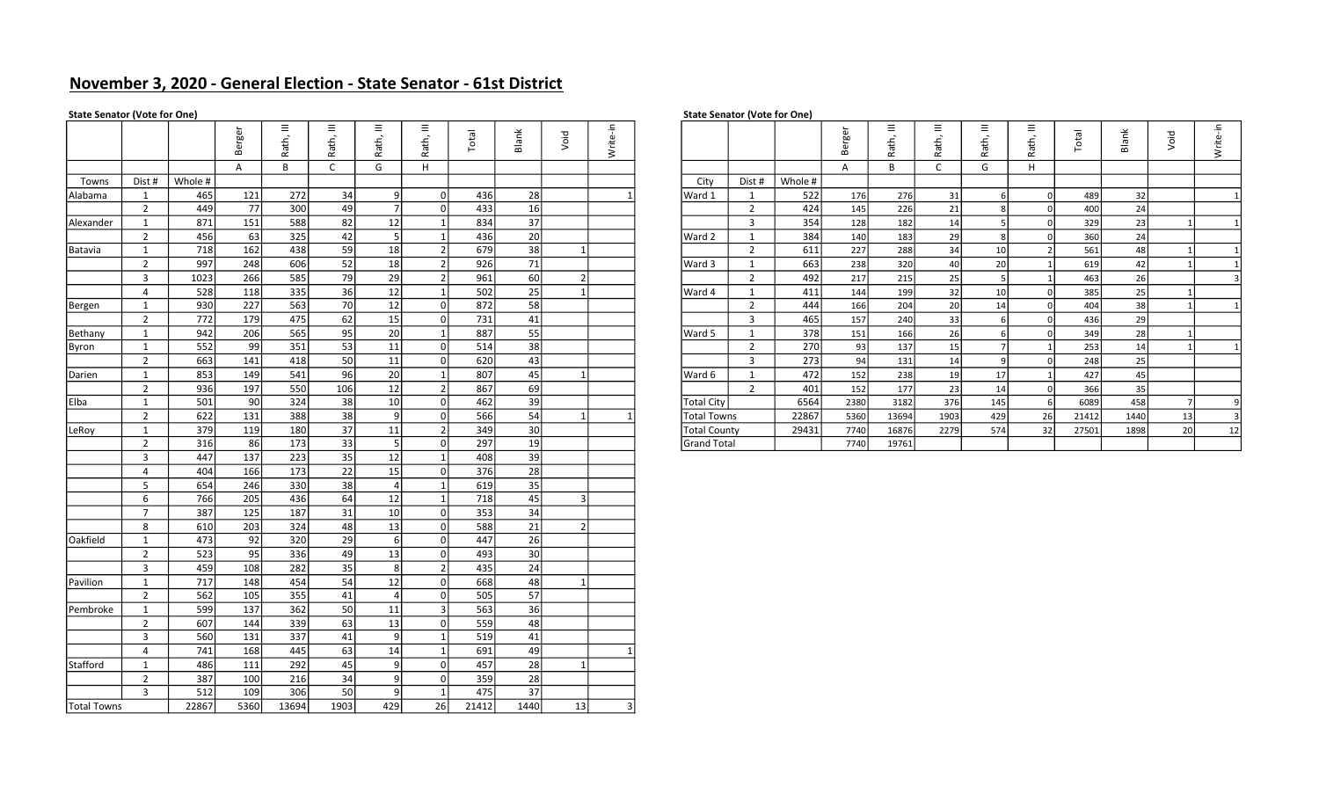# November 3, 2020 - General Election - State Senator - 61st District

### State Senator (Vote for One) State Senator (Vote for One)

|             |                |         | Berger | Rath, III       | Rath, III    | Ξ<br>Rath,      | $\equiv$<br>Rath, | Total | Blank           | Void           | Write-in |                     |                |         | Berger | $\equiv$<br>Rath, | $\equiv$<br>Rath, | $\equiv$<br>Rath, | Ξ<br>Rath,     | Total | Blank | Void         | Write-in                |
|-------------|----------------|---------|--------|-----------------|--------------|-----------------|-------------------|-------|-----------------|----------------|----------|---------------------|----------------|---------|--------|-------------------|-------------------|-------------------|----------------|-------|-------|--------------|-------------------------|
|             |                |         | A      | B               | $\mathsf{C}$ | G               | Н.                |       |                 |                |          |                     |                |         | A      | B                 | C                 | G                 | H              |       |       |              |                         |
| Towns       | Dist #         | Whole # |        |                 |              |                 |                   |       |                 |                |          | City                | Dist #         | Whole # |        |                   |                   |                   |                |       |       |              |                         |
| Alabama     | 1              | 465     | 121    | 272             | 34           | ا9              | $\overline{0}$    | 436   | 28              |                |          | Ward 1              | 1              | 522     | 176    | 276               | 31                | 6                 | $\overline{0}$ | 489   | 32    |              | $\mathbf{1}$            |
|             | $\overline{2}$ | 449     | 77     | 300             | 49           | 7               | 0                 | 433   | 16              |                |          |                     | $\overline{2}$ | 424     | 145    | 226               | 21                | 8                 | $\overline{0}$ | 400   | 24    |              |                         |
| Alexander   | 1              | 871     | 151    | 588             | 82           | 12              | $\vert$ 1         | 834   | 37              |                |          |                     | $\overline{3}$ | 354     | 128    | 182               | 14                | -5                | $\overline{0}$ | 329   | 23    |              | $\mathbf{1}$            |
|             | 2              | 456     | 63     | 325             | 42           | 5               | $\mathbf{1}$      | 436   | 20              |                |          | Ward 2              | 1              | 384     | 140    | 183               | 29                | $\mathbf{g}$      | $\Omega$       | 360   | 24    |              |                         |
| Batavia     | 1              | 718     | 162    | 438             | 59           | 18              | $\overline{2}$    | 679   | 38              | $1\vert$       |          |                     | $\overline{2}$ | 611     | 227    | 288               | 34                | 10                | $\overline{2}$ | 561   | 48    | $\vert$ 1    | $\mathbf{1}$            |
|             | $\overline{2}$ | 997     | 248    | 606             | 52           | 18              | 2                 | 926   | 71              |                |          | Ward 3              | 1              | 663     | 238    | 320               | 40                | 20                | $\overline{1}$ | 619   | 42    | $\vert$ 1    | $\mathbf{1}$            |
|             | $\overline{3}$ | 1023    | 266    | 585             | 79           | 29              | $\overline{2}$    | 961   | 60              | 2 <sup>1</sup> |          |                     | $\overline{2}$ | 492     | 217    | 215               | 25                | 5                 | $\mathbf{1}$   | 463   | 26    |              | $\overline{3}$          |
|             | $\overline{4}$ | 528     | 118    | 335             | 36           | 12              | $\mathbf{1}$      | 502   | 25              | 1              |          | Ward 4              | 1              | 411     | 144    | 199               | 32                | 10 <sup>1</sup>   | $\mathbf 0$    | 385   | 25    | $\mathbf{1}$ |                         |
| Bergen      | 1              | 930     | 227    | 563             | 70           | 12              | 0                 | 872   | 58              |                |          |                     | $\overline{2}$ | 444     | 166    | 204               | 20                | 14                | $\mathbf 0$    | 404   | 38    | $\vert$ 1    | 1                       |
|             | $\overline{2}$ | 772     | 179    | 475             | 62           | 15              | 0                 | 731   | 41              |                |          |                     | $\overline{3}$ | 465     | 157    | 240               | 33                | 6                 | $\mathbf 0$    | 436   | 29    |              |                         |
| Bethany     | 1              | 942     | 206    | 565             | 95           | 20              | 1                 | 887   | 55              |                |          | Ward 5              | 1              | 378     | 151    | 166               | 26                | 6                 | $\overline{0}$ | 349   | 28    |              |                         |
| Byron       | $\mathbf{1}$   | 552     | 99     | 351             | 53           | 11              | 0                 | 514   | 38              |                |          |                     | $\overline{2}$ | 270     | 93     | 137               | 15                | $\overline{7}$    | $\overline{1}$ | 253   | 14    | $\mathbf{1}$ | $\mathbf{1}$            |
|             | $\overline{2}$ | 663     | 141    | 418             | 50           | 11              | 0                 | 620   | 43              |                |          |                     | $\overline{3}$ | 273     | 94     | 131               | 14                | 9                 | $\mathbf 0$    | 248   | 25    |              |                         |
| Darien      | 1              | 853     | 149    | 541             | 96           | 20              | $1\vert$          | 807   | 45              | $1\vert$       |          | Ward 6              | 1              | 472     | 152    | 238               | 19                | 17                | $\overline{1}$ | 427   | 45    |              |                         |
|             | $\overline{2}$ | 936     | 197    | 550             | 106          | 12              | $\overline{2}$    | 867   | 69              |                |          |                     | $\overline{2}$ | 401     | 152    | 177               | 23                | 14                | $\mathbf 0$    | 366   | 35    |              |                         |
| Elba        | 1              | 501     | 90     | 324             | 38           | 10 <sup>1</sup> | 0                 | 462   | 39              |                |          | <b>Total City</b>   |                | 6564    | 2380   | 3182              | 376               | 145               | 6              | 6089  | 458   | - 71         | 9                       |
|             | $\overline{2}$ | 622     | 131    | 388             | 38           | او              | 0                 | 566   | 54              | $1\vert$       |          | <b>Total Towns</b>  |                | 22867   | 5360   | 13694             | 1903              | 429               | 26             | 21412 | 1440  | 13           | $\overline{\mathbf{3}}$ |
| LeRoy       | 1              | 379     | 119    | 180             | 37           | 11              | 2                 | 349   | 30 <sup>1</sup> |                |          | <b>Total County</b> |                | 29431   | 7740   | 16876             | 2279              | 574               | 32             | 27501 | 1898  | 20           | 12                      |
|             | $\overline{2}$ | 316     | 86     | $\frac{173}{2}$ | 33           | 5               | $\overline{0}$    | 297   | 19              |                |          | <b>Grand Total</b>  |                |         | 7740   | 19761             |                   |                   |                |       |       |              |                         |
|             | $\overline{3}$ | 447     | 137    | 223             | 35           | 12              | 1                 | 408   | 39              |                |          |                     |                |         |        |                   |                   |                   |                |       |       |              |                         |
|             | $\overline{4}$ | 404     | 166    | 173             | 22           | 15              | $\overline{0}$    | 376   | 28              |                |          |                     |                |         |        |                   |                   |                   |                |       |       |              |                         |
|             | 5              | 654     | 246    | 330             | 38           | $\vert 4 \vert$ | $\vert$ 1         | 619   | 35              |                |          |                     |                |         |        |                   |                   |                   |                |       |       |              |                         |
|             | 6              | 766     | 205    | 436             | 64           | 12              |                   | 718   | 45              | $\overline{3}$ |          |                     |                |         |        |                   |                   |                   |                |       |       |              |                         |
|             | $7^{\circ}$    | 387     | 125    | 187             | 31           | 10 <sup>1</sup> | $\overline{0}$    | 353   | 34              |                |          |                     |                |         |        |                   |                   |                   |                |       |       |              |                         |
|             | 8              | 610     | 203    | 324             | 48           | 13              | 0                 | 588   | 21              | 2              |          |                     |                |         |        |                   |                   |                   |                |       |       |              |                         |
| Oakfield    | 1              | 473     | 92     | 320             | 29           | 6               | 0                 | 447   | 26              |                |          |                     |                |         |        |                   |                   |                   |                |       |       |              |                         |
|             | 2              | 523     | 95     | 336             | 49           | 13              | 0                 | 493   | 30 <sup>1</sup> |                |          |                     |                |         |        |                   |                   |                   |                |       |       |              |                         |
|             | $\overline{3}$ | 459     | 108    | 282             | 35           | 8               | $\overline{2}$    | 435   | 24              |                |          |                     |                |         |        |                   |                   |                   |                |       |       |              |                         |
| Pavilion    | 1              | 717     | 148    | 454             | 54           | 12              | 0                 | 668   | 48              | $1\vert$       |          |                     |                |         |        |                   |                   |                   |                |       |       |              |                         |
|             | $\overline{2}$ | 562     | 105    | 355             | 41           | 4               | 0                 | 505   | 57              |                |          |                     |                |         |        |                   |                   |                   |                |       |       |              |                         |
| Pembroke    | 1              | 599     | 137    | 362             | 50           | 11              | $\overline{3}$    | 563   | 36              |                |          |                     |                |         |        |                   |                   |                   |                |       |       |              |                         |
|             | $\overline{2}$ | 607     | 144    | 339             | 63           | 13              | $\overline{0}$    | 559   | 48              |                |          |                     |                |         |        |                   |                   |                   |                |       |       |              |                         |
|             | $\overline{3}$ | 560     | 131    | 337             | 41           | او              | $\vert$ 1         | 519   | 41              |                |          |                     |                |         |        |                   |                   |                   |                |       |       |              |                         |
|             | $\overline{4}$ | 741     | 168    | 445             | 63           | 14              | $\vert$ 1         | 691   | 49              |                |          |                     |                |         |        |                   |                   |                   |                |       |       |              |                         |
| Stafford    | 1              | 486     | 111    | 292             | 45           | 9               | 0                 | 457   | 28              | $1\vert$       |          |                     |                |         |        |                   |                   |                   |                |       |       |              |                         |
|             | $\overline{2}$ | 387     | 100    | 216             | 34           | ا9              | 0                 | 359   | 28              |                |          |                     |                |         |        |                   |                   |                   |                |       |       |              |                         |
|             | $\overline{3}$ | 512     | 109    | 306             | 50           | او              | $\mathbf{1}$      | 475   | 37              |                |          |                     |                |         |        |                   |                   |                   |                |       |       |              |                         |
| Total Towns |                | 22867   | 5360   | 13694           | 1903         | 429             | 26                | 21412 | 1440            | 13             | 3        |                     |                |         |        |                   |                   |                   |                |       |       |              |                         |

|      |         | ஐ<br>$\mathbf{a}$<br>m | Ξ<br>ath, | $\equiv$<br>£,<br>$\sigma$ | Ξ<br>ŧ,<br>$\mathbf{u}$ | Ξ<br>Rath, | $\overline{\text{eta}}$ | Blank           | Void | 크. |                     |        |         | <b>bo</b><br>G)<br>$\Omega$ | $\equiv$<br>ŧ,<br>σ | $\equiv$<br>⇆ | $\equiv$<br>£,<br>ത | Ξ.<br>ath, | <b>lepo</b> | Blank | Void | 크.<br>Write- |  |
|------|---------|------------------------|-----------|----------------------------|-------------------------|------------|-------------------------|-----------------|------|----|---------------------|--------|---------|-----------------------------|---------------------|---------------|---------------------|------------|-------------|-------|------|--------------|--|
|      |         | $\overline{A}$         | B         |                            | G                       | Н          |                         |                 |      |    |                     |        |         | A                           |                     |               | G                   |            |             |       |      |              |  |
| st # | Whole # |                        |           |                            |                         |            |                         |                 |      |    | City                | Dist # | Whole # |                             |                     |               |                     |            |             |       |      |              |  |
|      | 465     | 121                    | 272       | 34                         | 9                       |            | 436                     | 28              |      |    | Ward 1              |        | 522     | 176                         | 276                 | 31            |                     |            | 489         | 32    |      |              |  |
|      | 449     | 77                     | 300       | 49                         |                         |            | 433                     | 16              |      |    |                     |        | 424     | 145                         | 226                 | 21            |                     |            | 400         | 24    |      |              |  |
|      | 871     | 151                    | 588       | 82                         | 12                      |            | 834                     | 37              |      |    |                     |        | 354     | 128                         | 182                 | 14            |                     |            | 329         | 23    |      |              |  |
|      | 456     | 63                     | 325       | 42                         |                         |            | 436                     | 20              |      |    | Ward 2              |        | 384     | 140                         | 183                 | 29            |                     |            | 360         | 24    |      |              |  |
|      | 718     | 162                    | 438       | 59                         | 18                      |            | 679                     | 38              |      |    |                     |        | 611     | 227                         | 288                 | 34            | 10                  |            | 561         | 48    |      |              |  |
|      | 997     | 248                    | 606       | 52                         | 18                      |            | 926                     | 71              |      |    | Ward 3              |        | 663     | 238                         | 320                 | 40            | 20                  |            | 619         | 42    |      |              |  |
|      | 1023    | 266                    | 585       | 79                         | 29                      |            | 961                     | 60              |      |    |                     |        | 492     | 217                         | 215                 | 25            |                     |            | 463         | 26    |      |              |  |
|      | 528     | 118                    | 335       | 36                         | 12                      |            | 502                     | 25              |      |    | Ward 4              |        | 411     | 144                         | 199                 | 32            | 10                  |            | 385         | 25    |      |              |  |
|      | 930     | 227                    | 563       | 70                         | 12                      |            | 872                     | 58              |      |    |                     |        | 444     | 166                         | 204                 | 20            | 14                  |            | 404         | 38    |      |              |  |
|      | 772     | 179                    | 475       | 62                         | 15                      |            | 731                     | 41              |      |    |                     |        | 465     | 157                         | 240                 | 33            |                     |            | 436         | 29    |      |              |  |
|      | 942     | 206                    | 565       | 95                         | 20                      |            | 887                     | 55              |      |    | Ward 5              |        | 378     | 151                         | 166                 | 26            |                     |            | 349         | 28    |      |              |  |
|      | 552     | 99                     | 351       | 53                         | 11                      |            | 514                     | 38              |      |    |                     |        | 270     | 93                          | 137                 | 15            |                     |            | 253         | 14    |      |              |  |
|      | 663     | 141                    | 418       | 50                         | 11                      |            | 620                     | 43              |      |    |                     |        | 273     | 94                          | 131                 | 14            |                     |            | 248         | 25    |      |              |  |
|      | 853     | 149                    | 541       | 96                         | 20                      |            | 807                     | 45              |      |    | Ward 6              |        | 472     | 152                         | 238                 | 19            | 17                  |            | 427         | 45    |      |              |  |
|      | 936     | 197                    | 550       | 106                        | 12                      |            | 867                     | 69              |      |    |                     |        | 401     | 152                         | 177                 | 23            | 14                  |            | 366         | 35    |      |              |  |
|      | 501     | 90                     | 324       | 38                         | 10 <sup>1</sup>         |            | 462                     | 39              |      |    | Total City          |        | 6564    | 2380                        | 3182                | 376           | 145                 |            | 6089        | 458   |      |              |  |
|      | 622     | 131                    | 388       | 38                         | 9 <sup>1</sup>          |            | 566                     | 54              |      |    | Total Towns         |        | 22867   | 5360                        | 13694               | 1903          | 429                 | 26         | 21412       | 1440  | 13   |              |  |
|      | 379     | 119                    | 180       | 37                         | 11                      |            | 349                     | 30 <sup>°</sup> |      |    | <b>Total County</b> |        | 29431   | 7740                        | 16876               | 2279          | 574                 | 32         | 27501       | 1898  | 20   |              |  |
|      | 316     | 86                     | 173       | 33                         |                         |            | 297                     | 19              |      |    | Grand Total         |        |         | 7740                        | 19761               |               |                     |            |             |       |      |              |  |
|      |         |                        |           |                            |                         |            |                         |                 |      |    |                     |        |         |                             |                     |               |                     |            |             |       |      |              |  |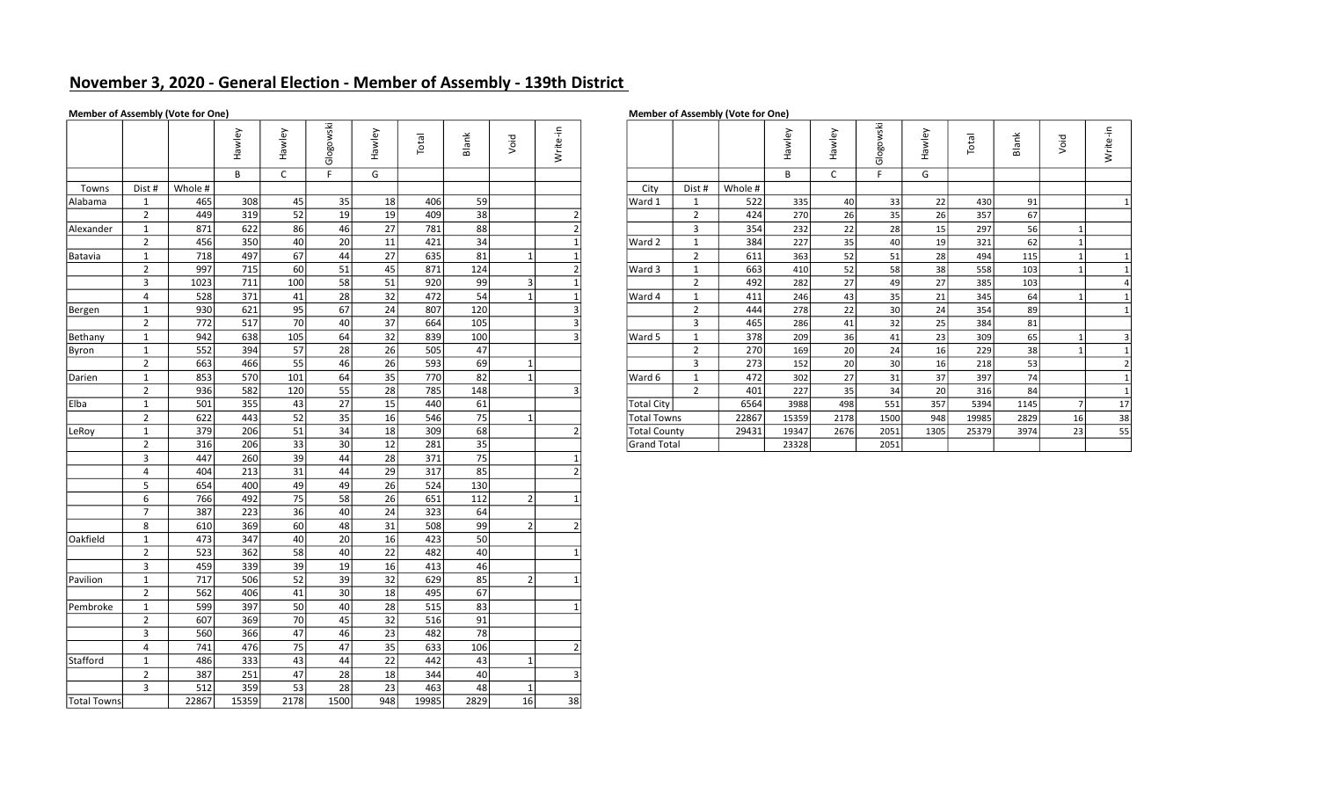# November 3, 2020 - General Election - Member of Assembly - 139th District

# Member of Assembly (Vote for One)

| <b>Member of Assembly (Vote for One</b> |
|-----------------------------------------|
|-----------------------------------------|

|                    |                |         | Hawley | Hawley       | Glogowski   | Hawley          | Total | Blank     | Void           | Write-in       |                          |                     |                |         | Hawley | Hawley | Glogowski       | Hawley | Total | Blank | Void         | Write-in       |
|--------------------|----------------|---------|--------|--------------|-------------|-----------------|-------|-----------|----------------|----------------|--------------------------|---------------------|----------------|---------|--------|--------|-----------------|--------|-------|-------|--------------|----------------|
|                    |                |         | B      | $\mathsf{C}$ | $\mathsf F$ | G               |       |           |                |                |                          |                     |                |         | B      | C      | F.              | G      |       |       |              |                |
| Towns              | Dist #         | Whole # |        |              |             |                 |       |           |                |                |                          | City                | Dist #         | Whole # |        |        |                 |        |       |       |              |                |
| Alabama            | $\mathbf{1}$   | 465     | 308    | 45           | 35          | 18              | 406   | 59        |                |                |                          | Ward 1              | $\mathbf{1}$   | 522     | 335    | 40     | 33              | 22     | 430   | 91    |              | $\mathbf{1}$   |
|                    | $\overline{2}$ | 449     | 319    | 52           | 19          | 19              | 409   | 38        |                |                | $\overline{2}$           |                     | 2              | 424     | 270    | 26     | 35              | 26     | 357   | 67    |              |                |
| Alexander          | 1              | 871     | 622    | 86           | 46          | 27              | 781   | 88        |                |                | $\overline{2}$           |                     | $\overline{3}$ | 354     | 232    | 22     | 28              | 15     | 297   | 56    |              |                |
|                    | $\overline{2}$ | 456     | 350    | 40           | 20          | 11              | 421   | 34        |                |                |                          | Ward 2              | $\mathbf{1}$   | 384     | 227    | 35     | 40              | 19     | 321   | 62    | $\mathbf{1}$ |                |
| Batavia            | $\mathbf{1}$   | 718     | 497    | 67           | 44          | 27              | 635   | 81        | 1              |                |                          |                     | $\overline{2}$ | 611     | 363    | 52     | 51              | 28     | 494   | 115   | $1\vert$     | $\mathbf{1}$   |
|                    | $\overline{2}$ | 997     | 715    | 60           | 51          | 45              | 871   | 124       |                |                | $\overline{2}$           | Ward 3              | $\mathbf{1}$   | 663     | 410    | 52     | 58              | 38     | 558   | 103   |              | $\mathbf{1}$   |
|                    | $\overline{3}$ | 1023    | 711    | 100          | 58          | 51              | 920   | -99       | $\vert$ 3      |                |                          |                     | $\overline{2}$ | 492     | 282    | 27     | 49              | 27     | 385   | 103   |              | $\overline{4}$ |
|                    | $\overline{4}$ | 528     | 371    | 41           | 28          | 32              | 472   | 54        | $\mathbf{1}$   |                |                          | Ward 4              | $\mathbf{1}$   | 411     | 246    | 43     | 35              | 21     | 345   | 64    | $\mathbf{1}$ | $\mathbf{1}$   |
| Bergen             | 1              | 930     | 621    | 95           | 67          | 24              | 807   | 120       |                |                | 3                        |                     | 2              | 444     | 278    | 22     | 30 <sup>1</sup> | 24     | 354   | 89    |              | $\mathbf{1}$   |
|                    | $\overline{2}$ | 772     | 517    | 70           | 40          | $\overline{37}$ | 664   | 105       |                |                | 3                        |                     | $\overline{3}$ | 465     | 286    | 41     | 32              | 25     | 384   | 81    |              |                |
| Bethany            | $\mathbf{1}$   | 942     | 638    | 105          | 64          | 32              | 839   | 100       |                |                | 3                        | Ward 5              | $\mathbf{1}$   | 378     | 209    | 36     | 41              | 23     | 309   | 65    | $\vert$ 1    | 3              |
| Byron              | 1              | 552     | 394    | 57           | 28          | 26              | 505   | 47        |                |                |                          |                     | $\overline{2}$ | 270     | 169    | 20     | 24              | 16     | 229   | 38    | $\mathbf{1}$ | $\mathbf{1}$   |
|                    | $\overline{2}$ | 663     | 466    | 55           | 46          | 26              | 593   | 69        | $\mathbf{1}$   |                |                          |                     | $\overline{3}$ | 273     | 152    | 20     | 30              | 16     | 218   | 53    |              | $\overline{2}$ |
| Darien             | $\mathbf{1}$   | 853     | 570    | 101          | 64          | 35              | 770   | 82        | $\mathbf{1}$   |                |                          | Ward 6              | $\mathbf{1}$   | 472     | 302    | 27     | 31              | 37     | 397   | 74    |              | $\mathbf{1}$   |
|                    | $\overline{2}$ | 936     | 582    | 120          | 55          | 28              | 785   | 148       |                |                | 3                        |                     | $\overline{2}$ | 401     | 227    | 35     | 34              | 20     | 316   | 84    |              | $\mathbf{1}$   |
| l Elba             | $\mathbf{1}$   | 501     | 355    | 43           | 27          | 15              | 440   | 61        |                |                |                          | <b>Total City</b>   |                | 6564    | 3988   | 498    | 551             | 357    | 5394  | 1145  | <b>71</b>    | 17             |
|                    | $\overline{2}$ | 622     | 443    | 52           | 35          | 16              | 546   | 75        | $\mathbf{1}$   |                |                          | <b>Total Towns</b>  |                | 22867   | 15359  | 2178   | 1500            | 948    | 19985 | 2829  | 16           | 38             |
| LeRoy              | 1              | 379     | 206    | 51           | 34          | 18              | 309   | 68        |                |                | $\overline{2}$           | <b>Total County</b> |                | 29431   | 19347  | 2676   | 2051            | 1305   | 25379 | 3974  | 23           | 55             |
|                    | $\overline{2}$ | 316     | 206    | 33           | 30          | 12              | 281   | 35        |                |                |                          | Grand Total         |                |         | 23328  |        | 2051            |        |       |       |              |                |
|                    | $\overline{3}$ | 447     | 260    | 39           | 44          | 28              | 371   | 75        |                |                |                          |                     |                |         |        |        |                 |        |       |       |              |                |
|                    | $\overline{4}$ | 404     | 213    | 31           | 44          | 29              | 317   | 85        |                |                | $\overline{2}$           |                     |                |         |        |        |                 |        |       |       |              |                |
|                    | 5              | 654     | 400    | 49           | 49          | 26              | 524   | 130       |                |                |                          |                     |                |         |        |        |                 |        |       |       |              |                |
|                    | 6              | 766     | 492    | 75           | 58          | 26              | 651   | 112       | 2 <sup>1</sup> |                |                          |                     |                |         |        |        |                 |        |       |       |              |                |
|                    | $\overline{7}$ | 387     | 223    | 36           | 40          | 24              | 323   | 64        |                |                |                          |                     |                |         |        |        |                 |        |       |       |              |                |
|                    | 8              | 610     | 369    | 60           | 48          | 31              | 508   | 99        |                | 2              | 2                        |                     |                |         |        |        |                 |        |       |       |              |                |
| Oakfield           | $\mathbf{1}$   | 473     | 347    | 40           | 20          | 16              | 423   | <b>50</b> |                |                |                          |                     |                |         |        |        |                 |        |       |       |              |                |
|                    | $\overline{2}$ | 523     | 362    | 58           | 40          | 22              | 482   | 40        |                |                |                          |                     |                |         |        |        |                 |        |       |       |              |                |
|                    | $\overline{3}$ | 459     | 339    | 39           | 19          | 16              | 413   | 46        |                |                |                          |                     |                |         |        |        |                 |        |       |       |              |                |
| Pavilion           | $\mathbf{1}$   | 717     | 506    | 52           | 39          | 32              | 629   | 85        |                | 2 <sup>1</sup> |                          |                     |                |         |        |        |                 |        |       |       |              |                |
|                    | $\overline{2}$ | 562     | 406    | 41           | 30          | 18              | 495   | 67        |                |                |                          |                     |                |         |        |        |                 |        |       |       |              |                |
| Pembroke           | 1              | 599     | 397    | 50           | 40          | 28              | 515   | 83        |                |                |                          |                     |                |         |        |        |                 |        |       |       |              |                |
|                    | $\overline{2}$ | 607     | 369    | 70           | 45          | 32              | 516   | 91        |                |                |                          |                     |                |         |        |        |                 |        |       |       |              |                |
|                    | $\overline{3}$ | 560     | 366    | 47           | 46          | 23              | 482   | 78        |                |                |                          |                     |                |         |        |        |                 |        |       |       |              |                |
|                    | $\overline{4}$ | 741     | 476    | 75           | 47          | 35              | 633   | 106       |                |                | $\overline{\phantom{a}}$ |                     |                |         |        |        |                 |        |       |       |              |                |
| Stafford           | $\mathbf{1}$   | 486     | 333    | 43           | 44          | 22              | 442   | 43        | $\mathbf{1}$   |                |                          |                     |                |         |        |        |                 |        |       |       |              |                |
|                    | $\overline{2}$ | 387     | 251    | 47           | 28          | 18              | 344   | 40        |                |                |                          |                     |                |         |        |        |                 |        |       |       |              |                |
|                    | $\overline{3}$ | 512     | 359    | 53           | 28          | 23              | 463   | 48        | $\mathbf{1}$   |                |                          |                     |                |         |        |        |                 |        |       |       |              |                |
| <b>Total Towns</b> |                | 22867   | 15359  | 2178         | 1500        | 948             | 19985 | 2829      | 16             | 38             |                          |                     |                |         |        |        |                 |        |       |       |              |                |

|     |                     | wley          | wley<br>ത | 꼯<br>C<br>య్<br>$\frac{5}{9}$ | ≻<br>wley<br>Б | otal | Blank | Void           | Write-in |                     |                |         | ≻<br>ഁ൘<br>운 | ≻<br>$rac{1}{\sqrt{2}}$ | 꼱<br>Glogo      | wley<br>σ | $1$<br>⊢ | Blank | Void | -두<br>Write- |
|-----|---------------------|---------------|-----------|-------------------------------|----------------|------|-------|----------------|----------|---------------------|----------------|---------|--------------|-------------------------|-----------------|-----------|----------|-------|------|--------------|
|     |                     | B             |           |                               | G              |      |       |                |          |                     |                |         | B            |                         |                 | G         |          |       |      |              |
| st# | Whole #             |               |           |                               |                |      |       |                |          | City                | Dist #         | Whole # |              |                         |                 |           |          |       |      |              |
|     | 465                 | 308           | 45        | 35                            | 18             | 406  | 59    |                |          | Ward 1              |                | 522     | 335          | 40                      | 33              | 22        | 430      | 91    |      |              |
|     | 449                 | 319           | 52        | 19                            | 19             | 409  | 38    |                |          |                     | $\overline{2}$ | 424     | 270          | 26                      | 35              | 26        | 357      | 67    |      |              |
|     | 871                 | 622           | 86        | 46                            | 27             | 781  | 88    |                |          |                     | 3              | 354     | 232          | 22                      | 28              | 15        | 297      | 56    |      |              |
|     | 456                 | 350           | 40        | 20                            | 11             | 421  | 34    |                |          | Ward 2              |                | 384     | 227          | 35                      | 40              | 19        | 321      | 62    |      |              |
|     | 718                 | 497           | 67        | 44                            | 27             | 635  | 81    |                |          |                     | ຳ              | 611     | 363          | 52                      | 51              | 28        | 494      | 115   |      |              |
|     | 997                 | 715           | 60        | 51                            | 45             | 871  | 124   |                |          | Ward 3              |                | 663     | 410          | 52                      | 58              | 38        | 558      | 103   |      |              |
|     | 1023                | 711           | 100       | 58                            | 51             | 920  | 99    | 3              |          |                     | $\mathbf{r}$   | 492     | 282          | 27                      | 49              | 27        | 385      | 103   |      |              |
|     | 528                 | 371           | 41        | 28                            | 32             | 472  | 54    |                |          | Ward 4              |                | 411     | 246          | 43                      | 35              | 21        | 345      | 64    |      |              |
|     | 930                 | 621           | 95        | 67                            | 24             | 807  | 120   |                |          |                     |                | 444     | 278          | 22                      | 30 <sub>1</sub> | 24        | 354      | 89    |      |              |
|     | 772                 | 517           | 70        | 40                            | 37             | 664  | 105   |                |          |                     | 3              | 465     | 286          | 41                      | 32              | 25        | 384      | 81    |      |              |
|     | 942                 | 638           | 105       | 64                            | 32             | 839  | 100   |                |          | Ward 5              |                | 378     | 209          | 36                      | 41              | 23        | 309      | 65    |      |              |
|     | 552                 | 394           | 57        | 28                            | 26             | 505  | 47    |                |          |                     | 2              | 270     | 169          | 20 <sup>1</sup>         | 24              | 16        | 229      | 38    |      |              |
|     | 663                 | 466           | 55        | 46                            | 26             | 593  | 69    | 1              |          |                     | 3              | 273     | 152          | 20                      | 30 <sub>1</sub> | 16        | 218      | 53    |      |              |
|     | 853                 | 570           | 101       | 64                            | 35             | 770  | 82    | 1 <sup>1</sup> |          | Ward 6              |                | 472     | 302          | 27                      | 31              | 37        | 397      | 74    |      |              |
|     | 936                 | 582           | 120       | 55                            | 28             | 785  | 148   |                |          |                     | $\overline{2}$ | 401     | 227          | 35                      | 34              | 20        | 316      | 84    |      |              |
|     | 501                 | 355           | 43        | 27                            | 15             | 440  | 61    |                |          | Total City          |                | 6564    | 3988         | 498                     | 551             | 357       | 5394     | 1145  |      | 17           |
|     | 622                 | 443           | 52        | 35                            | 16             | 546  | 75    |                |          | <b>Total Towns</b>  |                | 22867   | 15359        | 2178                    | 1500            | 948       | 19985    | 2829  | 16   | 38           |
|     | 379                 | 206           | 51        | 34                            | 18             | 309  | 68    |                |          | <b>Total County</b> |                | 29431   | 19347        | 2676                    | 2051            | 1305      | 25379    | 3974  | 23   | 55           |
|     | 316                 | 206           | 33        | 30 <sup>°</sup>               | 12             | 281  | 35    |                |          | <b>Grand Total</b>  |                |         | 23328        |                         | 2051            |           |          |       |      |              |
|     | $\cdot$ $\cdot$ $-$ | $\sim$ $\sim$ | $\sim$    |                               | $\sim$ $\sim$  | $-1$ | —— I  |                |          |                     |                |         |              |                         |                 |           |          |       |      |              |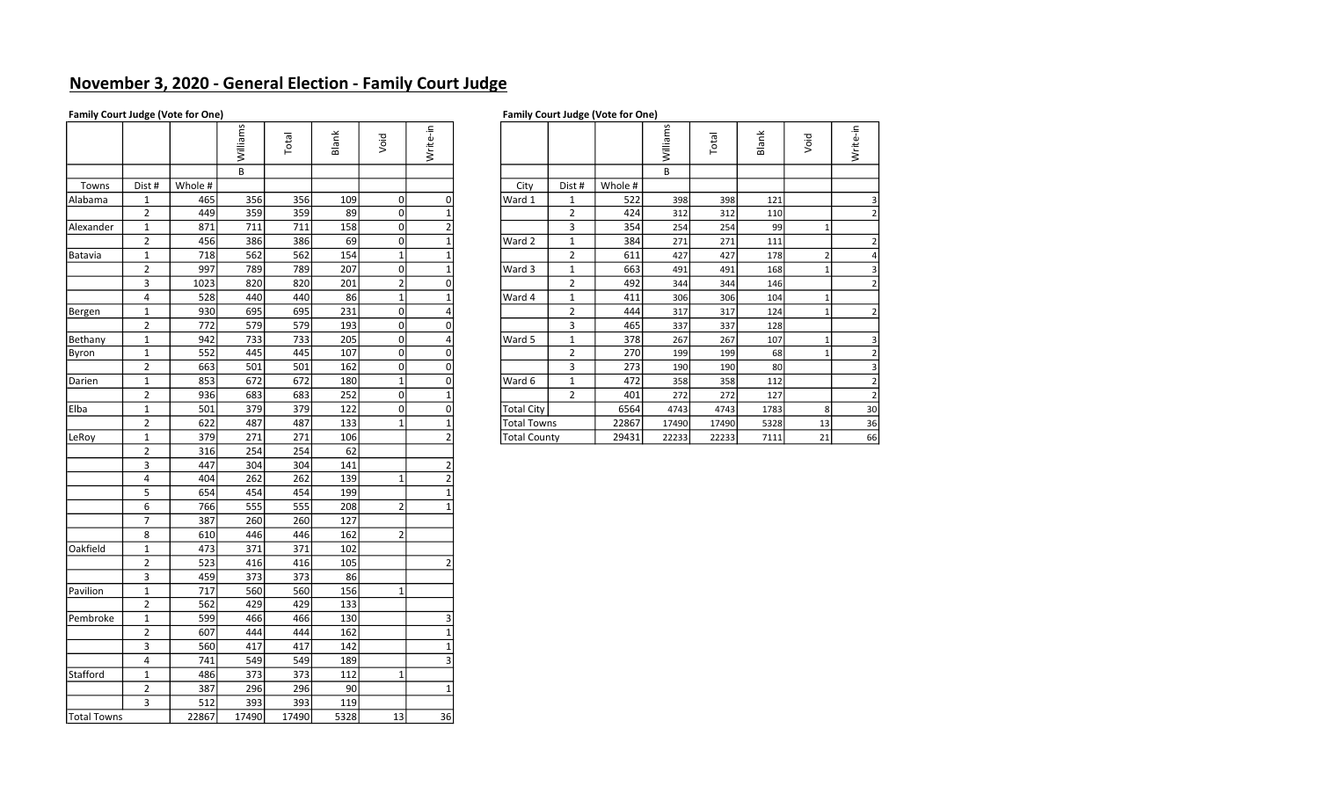# November 3, 2020 - General Election - Family Court Judge

## Family Court Judge (Vote for One) **Family Court Judge (Vote for One)** Family Court Judge (Vote for One)

|                    |                         |         | Williams | Total | Blank | Void           | Write-in       |                     |                |         | Williams | Total | Blank | Void        | Write-in       |
|--------------------|-------------------------|---------|----------|-------|-------|----------------|----------------|---------------------|----------------|---------|----------|-------|-------|-------------|----------------|
|                    |                         |         | $\sf B$  |       |       |                |                |                     |                |         | B        |       |       |             |                |
| Towns              | Dist #                  | Whole # |          |       |       |                |                | City                | Dist #         | Whole # |          |       |       |             |                |
| Alabama            | $\mathbf{1}$            | 465     | 356      | 356   | 109   | $\mathbf 0$    | $\mathbf 0$    | Ward 1              | $\mathbf{1}$   | 522     | 398      | 398   | 121   |             | 3              |
|                    | $\overline{2}$          | 449     | 359      | 359   | 89    | $\Omega$       | 1              |                     | $\overline{2}$ | 424     | 312      | 312   | 110   |             | $\overline{2}$ |
| Alexander          | $\mathbf 1$             | 871     | 711      | 711   | 158   | $\circ$        | $\overline{2}$ |                     | 3              | 354     | 254      | 254   | 99    | $\mathbf 1$ |                |
|                    | $\overline{2}$          | 456     | 386      | 386   | 69    | $\Omega$       |                | Ward 2              | $\mathbf 1$    | 384     | 271      | 271   | 111   |             | $\overline{2}$ |
| Batavia            | $\mathbf{1}$            | 718     | 562      | 562   | 154   | $\mathbf 1$    | 1              |                     | $\overline{2}$ | 611     | 427      | 427   | 178   | 2           | 4              |
|                    | $\overline{2}$          | 997     | 789      | 789   | 207   | $\mathbf 0$    | $\mathbf{1}$   | Ward 3              | $\mathbf 1$    | 663     | 491      | 491   | 168   | $\mathbf 1$ | $\overline{3}$ |
|                    | $\mathsf 3$             | 1023    | 820      | 820   | 201   | $\mathbf{2}$   | $\mathbf 0$    |                     | $\overline{2}$ | 492     | 344      | 344   | 146   |             | $\overline{2}$ |
|                    | 4                       | 528     | 440      | 440   | 86    | $\mathbf{1}$   | 1              | Ward 4              | $\mathbf{1}$   | 411     | 306      | 306   | 104   | 1           |                |
| Bergen             | $\mathbf{1}$            | 930     | 695      | 695   | 231   | $\Omega$       | 4              |                     | $\overline{2}$ | 444     | 317      | 317   | 124   | $\mathbf 1$ | $\overline{2}$ |
|                    | $\overline{2}$          | 772     | 579      | 579   | 193   | $\mathbf 0$    | $\Omega$       |                     | 3              | 465     | 337      | 337   | 128   |             |                |
| Bethany            | $\mathbf{1}$            | 942     | 733      | 733   | 205   | 0              | 4              | Ward 5              | $\mathbf{1}$   | 378     | 267      | 267   | 107   | 1           | $\overline{3}$ |
| Byron              | $\mathbf 1$             | 552     | 445      | 445   | 107   | $\circ$        | $\mathbf 0$    |                     | $\overline{2}$ | 270     | 199      | 199   | 68    | $\mathbf 1$ | $\overline{2}$ |
|                    | $\overline{2}$          | 663     | 501      | 501   | 162   | $\Omega$       | $\mathbf 0$    |                     | 3              | 273     | 190      | 190   | 80    |             | 3              |
| Darien             | $\mathbf 1$             | 853     | 672      | 672   | 180   | $\mathbf{1}$   | $\mathbf 0$    | Ward 6              | $\mathbf 1$    | 472     | 358      | 358   | 112   |             | $\overline{2}$ |
|                    | $\overline{2}$          | 936     | 683      | 683   | 252   | $\circ$        | $\mathbf{1}$   |                     | $\overline{2}$ | 401     | 272      | 272   | 127   |             | $\overline{2}$ |
| Elba               | $\mathbf 1$             | 501     | 379      | 379   | 122   | $\circ$        | $\mathbf 0$    | <b>Total City</b>   |                | 6564    | 4743     | 4743  | 1783  | 8           | 30             |
|                    | $\overline{2}$          | 622     | 487      | 487   | 133   | $\mathbf{1}$   | 1              | <b>Total Towns</b>  |                | 22867   | 17490    | 17490 | 5328  | 13          | 36             |
| LeRoy              | $\mathbf 1$             | 379     | 271      | 271   | 106   |                | $\overline{2}$ | <b>Total County</b> |                | 29431   | 22233    | 22233 | 7111  | 21          | 66             |
|                    | $\overline{2}$          | 316     | 254      | 254   | 62    |                |                |                     |                |         |          |       |       |             |                |
|                    | 3                       | 447     | 304      | 304   | 141   |                | $\overline{2}$ |                     |                |         |          |       |       |             |                |
|                    | $\overline{\mathbf{4}}$ | 404     | 262      | 262   | 139   | $\mathbf{1}$   |                |                     |                |         |          |       |       |             |                |
|                    | 5                       | 654     | 454      | 454   | 199   |                | $\mathbf{1}$   |                     |                |         |          |       |       |             |                |
|                    | 6                       | 766     | 555      | 555   | 208   | $\overline{2}$ | 1              |                     |                |         |          |       |       |             |                |
|                    | $\overline{7}$          | 387     | 260      | 260   | 127   |                |                |                     |                |         |          |       |       |             |                |
|                    | 8                       | 610     | 446      | 446   | 162   | $\overline{2}$ |                |                     |                |         |          |       |       |             |                |
| Oakfield           | $\mathbf 1$             | 473     | 371      | 371   | 102   |                |                |                     |                |         |          |       |       |             |                |
|                    | $\overline{2}$          | 523     | 416      | 416   | 105   |                | $\overline{2}$ |                     |                |         |          |       |       |             |                |
|                    | $\mathsf 3$             | 459     | 373      | 373   | 86    |                |                |                     |                |         |          |       |       |             |                |
| Pavilion           | $\mathbf 1$             | 717     | 560      | 560   | 156   | $\mathbf{1}$   |                |                     |                |         |          |       |       |             |                |
|                    | $\overline{2}$          | 562     | 429      | 429   | 133   |                |                |                     |                |         |          |       |       |             |                |
| Pembroke           | $\mathbf 1$             | 599     | 466      | 466   | 130   |                | 3              |                     |                |         |          |       |       |             |                |
|                    | $\overline{2}$          | 607     | 444      | 444   | 162   |                | $\mathbf{1}$   |                     |                |         |          |       |       |             |                |
|                    | 3                       | 560     | 417      | 417   | 142   |                | $\mathbf{1}$   |                     |                |         |          |       |       |             |                |
|                    | $\overline{4}$          | 741     | 549      | 549   | 189   |                | 3              |                     |                |         |          |       |       |             |                |
| Stafford           | $\mathbf 1$             | 486     | 373      | 373   | 112   | $\mathbf{1}$   |                |                     |                |         |          |       |       |             |                |
|                    | $\overline{2}$          | 387     | 296      | 296   | 90    |                | 1              |                     |                |         |          |       |       |             |                |
|                    | 3                       | 512     | 393      | 393   | 119   |                |                |                     |                |         |          |       |       |             |                |
| <b>Total Towns</b> |                         | 22867   | 17490    | 17490 | 5328  | 13             | 36             |                     |                |         |          |       |       |             |                |

|     |         | Williams | otal<br>⊢ | Blank | Void           | Write-in |                     |                |         | Williams | <b>lepo</b> | Blank | Void | Write-in       |
|-----|---------|----------|-----------|-------|----------------|----------|---------------------|----------------|---------|----------|-------------|-------|------|----------------|
|     |         | В        |           |       |                |          |                     |                |         | В        |             |       |      |                |
| st# | Whole # |          |           |       |                |          | City                | Dist #         | Whole # |          |             |       |      |                |
|     | 465     | 356      | 356       | 109   | $\mathbf{0}$   |          | Ward 1              | $\mathbf{1}$   | 522     | 398      | 398         | 121   |      | 3              |
|     | 449     | 359      | 359       | 89    |                |          |                     | $\overline{2}$ | 424     | 312      | 312         | 110   |      |                |
|     | 871     | 711      | 711       | 158   | $\mathbf{0}$   |          |                     | 3              | 354     | 254      | 254         | 99    |      |                |
|     | 456     | 386      | 386       | 69    |                |          | Ward 2              | $\mathbf{1}$   | 384     | 271      | 271         | 111   |      |                |
|     | 718     | 562      | 562       | 154   |                |          |                     | $\overline{2}$ | 611     | 427      | 427         | 178   |      | 4              |
|     | 997     | 789      | 789       | 207   | $\Omega$       |          | Ward 3              |                | 663     | 491      | 491         | 168   |      | 3              |
|     | 1023    | 820      | 820       | 201   | $\overline{2}$ |          |                     | $\overline{2}$ | 492     | 344      | 344         | 146   |      |                |
| 4   | 528     | 440      | 440       | 86    |                |          | Ward 4              |                | 411     | 306      | 306         | 104   |      |                |
|     | 930     | 695      | 695       | 231   | $\Omega$       |          |                     | $\overline{2}$ | 444     | 317      | 317         | 124   |      | 2              |
|     | 772     | 579      | 579       | 193   | $\mathbf{0}$   |          |                     | 3              | 465     | 337      | 337         | 128   |      |                |
|     | 942     | 733      | 733       | 205   | $\mathbf{0}$   |          | Ward 5              | 1              | 378     | 267      | 267         | 107   |      | 3              |
|     | 552     | 445      | 445       | 107   | $\mathbf{0}$   |          |                     | $\overline{2}$ | 270     | 199      | 199         | 68    |      | $\overline{2}$ |
|     | 663     | 501      | 501       | 162   | 0              | $\Omega$ |                     | 3              | 273     | 190      | 190         | 80    |      | 3              |
|     | 853     | 672      | 672       | 180   |                |          | Ward 6              | 1              | 472     | 358      | 358         | 112   |      | 2              |
|     | 936     | 683      | 683       | 252   | $\Omega$       |          |                     | $\overline{2}$ | 401     | 272      | 272         | 127   |      | 2              |
|     | 501     | 379      | 379       | 122   |                |          | <b>Total City</b>   |                | 6564    | 4743     | 4743        | 1783  | 8    | 30             |
|     | 622     | 487      | 487       | 133   |                |          | <b>Total Towns</b>  |                | 22867   | 17490    | 17490       | 5328  | 13   | 36             |
|     | 379     | 271      | 271       | 106   |                |          | <b>Total County</b> |                | 29431   | 22233    | 22233       | 7111  | 21   | 66             |
|     |         |          |           |       |                |          |                     |                |         |          |             |       |      |                |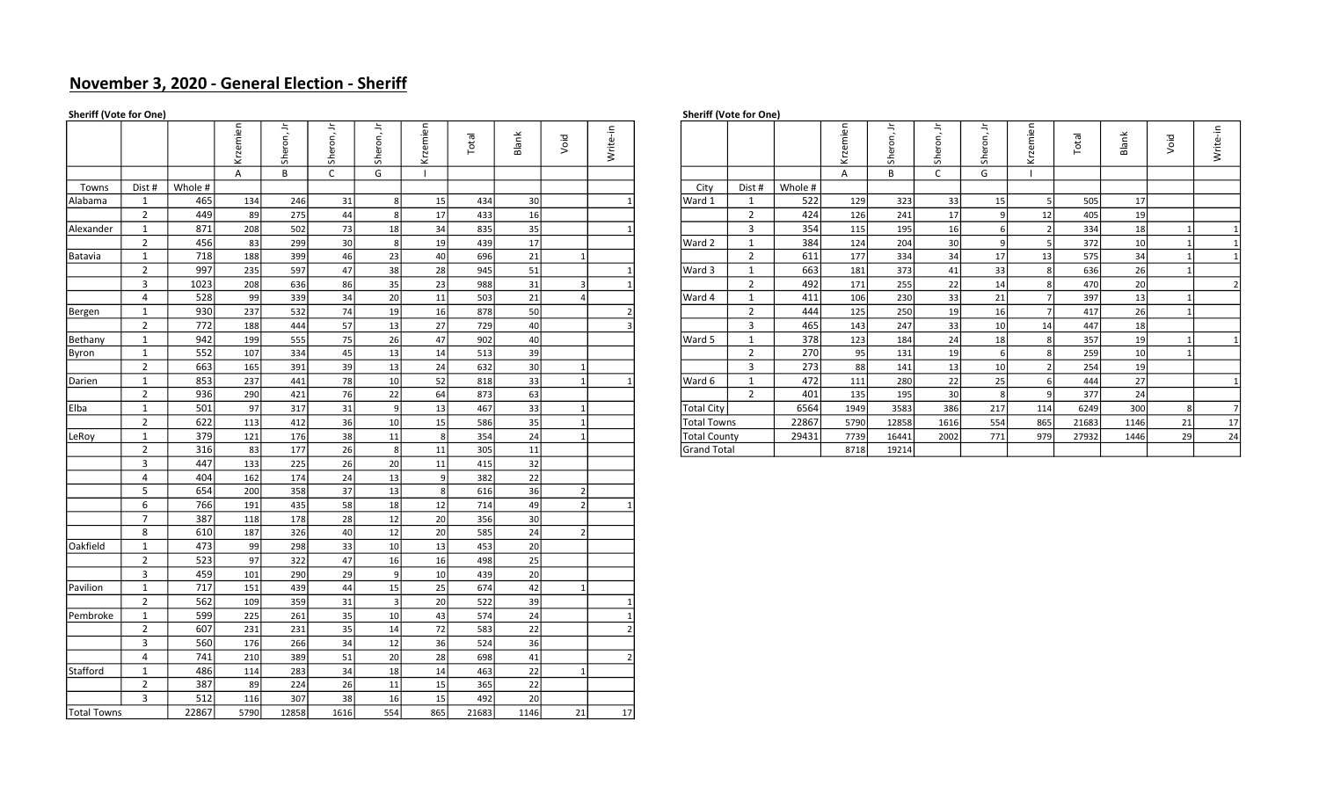# November 3, 2020 - General Election - Sheriff

| <b>Sheriff (Vote for One)</b> |                                  |            |            |            |              |                |          |            |                 |      |          |                     | Sheriff (Vote for One)  |         |          |              |            |                     |                |       |       |              |                |
|-------------------------------|----------------------------------|------------|------------|------------|--------------|----------------|----------|------------|-----------------|------|----------|---------------------|-------------------------|---------|----------|--------------|------------|---------------------|----------------|-------|-------|--------------|----------------|
|                               |                                  |            | Krzemien   | Sheron, Jr | Sheron, Jr   | ≒<br>Sheron,   | Krzemien | Total      | Blank           | Void | Write-in |                     |                         |         | Krzemien | 与<br>Sheron, | Sheron, Jr | $\equiv$<br>Sheron, | Krzemien       | Total | Blank | Void         | Write-in       |
|                               |                                  |            | A          | B          | $\mathsf{C}$ | G              |          |            |                 |      |          |                     |                         |         | Α        | B            | C          | G                   |                |       |       |              |                |
| Towns                         | Dist #                           | Whole #    |            |            |              |                |          |            |                 |      |          | City                | Dist #                  | Whole # |          |              |            |                     |                |       |       |              |                |
| Alabama                       | 1                                | 465        | 134        | 246        | 31           | -8             | 15       | 434        | 30              |      |          | Ward 1              | 1                       | 522     | 129      | 323          | 33         | 15                  | -51            | 505   | 17    |              |                |
|                               | $\overline{2}$                   | 449        | 89         | 275        | 44           | 8 <sup>1</sup> | 17       | 433        | 16              |      |          |                     | $\overline{2}$          | 424     | 126      | 241          | 17         | 9                   | 12             | 405   | 19    |              |                |
| Alexander                     | 1                                | 871        | 208        | 502        | 73           | 18             | 34       | 835        | 35              |      |          |                     | $\overline{3}$          | 354     | 115      | 195          | 16         | 6                   | $\overline{2}$ | 334   | 18    |              | $\mathbf{1}$   |
|                               | $\overline{2}$                   | 456        | 83         | 299        | 30           | 8              | 19       | 439        | 17              |      |          | Ward 2              | $\mathbf{1}$            | 384     | 124      | 204          | 30         | 9                   | 5              | 372   | 10    | $\mathbf{1}$ | $\mathbf{1}$   |
| Batavia                       | 1                                | 718        | 188        | 399        | 46           | 23             | 40       | 696        | 21              |      |          |                     | $\overline{2}$          | 611     | 177      | 334          | 34         | 17                  | 13             | 575   | 34    | $\mathbf{1}$ | $\mathbf{1}$   |
|                               | $\overline{2}$                   | 997        | 235        | 597        | 47           | 38             | 28       | 945        | 51              |      |          | Ward 3              | $\mathbf{1}$            | 663     | 181      | 373          | 41         | 33                  | 8              | 636   | 26    |              |                |
|                               | $\overline{3}$                   | 1023       | 208        | 636        | 86           | 35             | 23       | 988        | 31              |      |          |                     | $\overline{2}$          | 492     | 171      | 255          | 22         | 14                  | 8              | 470   | 20    |              | $\overline{2}$ |
|                               | $\overline{4}$                   | 528        | 99         | 339        | 34           | 20             | 11       | 503        | 21              |      |          | Ward 4              | $\mathbf{1}$            | 411     | 106      | 230          | 33         | 21                  | $\overline{7}$ | 397   | 13    |              |                |
| Bergen                        | 1                                | 930        | 237        | 532        | 74           | 19             | 16       | 878        | 50              |      |          |                     | $\overline{2}$          | 444     | 125      | 250          | 19         | 16                  | <b>7</b>       | 417   | 26    |              |                |
|                               | $\overline{2}$                   | 772        | 188        | 444        | 57           | 13             | 27       | 729        | 40              |      |          |                     | $\overline{3}$          | 465     | 143      | 247          | 33         | 10                  | 14             | 447   | 18    |              |                |
| Bethany                       | $\mathbf{1}$                     | 942        | 199        | 555        | 75           | 26             | 47       | 902        | 40              |      |          | Ward 5              | $\mathbf{1}$            | 378     | 123      | 184          | 24         | 18                  | 8              | 357   | 19    | $\mathbf{1}$ | $\mathbf{1}$   |
| Byron                         | $\mathbf{1}$                     | 552        | 107        | 334        | 45           | 13             | 14       | 513        | 39              |      |          |                     | $\overline{2}$          | 270     | 95       | 131          | 19         | 6                   | 8              | 259   | 10    |              |                |
|                               | $\overline{2}$                   | 663        | 165        | 391        | 39           | 13             | 24       | 632        | 30              |      |          |                     | $\overline{\mathbf{3}}$ | 273     | 88       | 141          | 13         | 10                  | $\overline{2}$ | 254   | 19    |              |                |
| Darien                        | $\mathbf{1}$                     | 853        | 237        | 441        | 78           | 10             | 52       | 818        | 33              |      |          | Ward 6              | $\mathbf{1}$            | 472     | 111      | 280          | 22         | 25                  | $6 \mid$       | 444   | 27    |              | $\mathbf{1}$   |
|                               | $\overline{2}$                   | 936        | 290        | 421        | 76           | 22             | 64       | 873        | 63              |      |          |                     | $\overline{2}$          | 401     | 135      | 195          | 30         | 8                   | 9              | 377   | 24    |              |                |
| Elba                          | $\mathbf{1}$                     | 501        | 97         | 317        | 31           |                | 13       | 467        | 33              |      |          | <b>Total City</b>   |                         | 6564    | 1949     | 3583         | 386        | 217                 | 114            | 6249  | 300   | 8            | $\overline{7}$ |
|                               | $\overline{2}$                   | 622        | 113        | 412        | 36           | 10             | 15       | 586        | 35              |      |          | <b>Total Towns</b>  |                         | 22867   | 5790     | 12858        | 1616       | 554                 | 865            | 21683 | 1146  | 21           | 17             |
| LeRoy                         | $\mathbf{1}$                     | 379        | 121        | 176        | 38           | 11             | 8        | 354        | 24              |      |          | <b>Total County</b> |                         | 29431   | 7739     | 16441        | 2002       | 771                 | 979            | 27932 | 1446  | 29           | 24             |
|                               | $\overline{2}$                   | 316        | 83         | 177        | 26           | 8              | 11       | 305        | 11              |      |          | <b>Grand Total</b>  |                         |         | 8718     | 19214        |            |                     |                |       |       |              |                |
|                               | $\overline{3}$                   | 447        | 133        | 225        | 26           | 20             | 11       | 415        | 32              |      |          |                     |                         |         |          |              |            |                     |                |       |       |              |                |
|                               | $\overline{4}$                   | 404        | 162        | 174        | 24           | 13             | او       | 382        | 22              |      |          |                     |                         |         |          |              |            |                     |                |       |       |              |                |
|                               | 5                                | 654        | 200        | 358        | 37           | 13             | 8        | 616        | 36              |      |          |                     |                         |         |          |              |            |                     |                |       |       |              |                |
|                               | 6                                | 766        | 191        | 435        | 58           | 18             | 12       | 714        | 49              |      |          |                     |                         |         |          |              |            |                     |                |       |       |              |                |
|                               | $\overline{7}$                   | 387        | 118        | 178        | 28           | 12             | 20       | 356        | 30              |      |          |                     |                         |         |          |              |            |                     |                |       |       |              |                |
|                               | 8                                | 610        | 187        | 326        | 40           | 12             | 20       | 585        | 24              |      |          |                     |                         |         |          |              |            |                     |                |       |       |              |                |
| Oakfield                      | $\mathbf{1}$                     | 473        | 99         | 298        | 33           | 10             | 13       | 453        | 20 <sup>1</sup> |      |          |                     |                         |         |          |              |            |                     |                |       |       |              |                |
|                               | $\overline{2}$                   | 523        | 97         | 322        | 47           | 16             | 16       | 498        | 25              |      |          |                     |                         |         |          |              |            |                     |                |       |       |              |                |
|                               | $\overline{3}$                   | 459        | 101        | 290        | 29           | 9              | 10       | 439        | 20 <sup>1</sup> |      |          |                     |                         |         |          |              |            |                     |                |       |       |              |                |
| Pavilion                      | 1                                | 717        | 151        | 439        | 44           | 15             | 25       | 674        | 42              |      |          |                     |                         |         |          |              |            |                     |                |       |       |              |                |
|                               | $\overline{2}$                   | 562        | 109        | 359        | 31           | $\vert$ 3      | 20       | 522        | 39              |      |          |                     |                         |         |          |              |            |                     |                |       |       |              |                |
| Pembroke                      | $\mathbf{1}$                     | 599<br>607 | 225        | 261        | 35           | 10             | 43       | 574        | 24              |      |          |                     |                         |         |          |              |            |                     |                |       |       |              |                |
|                               | $\overline{2}$<br>$\overline{3}$ | 560        | 231<br>176 | 231<br>266 | 35<br>34     | 14<br>12       | 72<br>36 | 583<br>524 | 22<br>36        |      |          |                     |                         |         |          |              |            |                     |                |       |       |              |                |
|                               |                                  |            |            |            |              |                |          |            |                 |      |          |                     |                         |         |          |              |            |                     |                |       |       |              |                |
|                               | $\overline{4}$<br>1              | 741<br>486 | 210        | 389<br>283 | 51<br>34     | 20             | 28       | 698<br>463 | 41<br>22        |      |          |                     |                         |         |          |              |            |                     |                |       |       |              |                |
| Stafford                      | $\overline{2}$                   | 387        | 114<br>89  | 224        | 26           | 18<br>11       | 14<br>15 | 365        | 22              |      |          |                     |                         |         |          |              |            |                     |                |       |       |              |                |
|                               | 3                                | 512        | 116        | 307        | 38           | 16             | 15       | 492        | 20              |      |          |                     |                         |         |          |              |            |                     |                |       |       |              |                |
| Total Towns                   |                                  | 22867      | 5790       | 12858      | 1616         | 554            | 865      | 21683      | 1146            | 21   | 17       |                     |                         |         |          |              |            |                     |                |       |       |              |                |
|                               |                                  |            |            |            |              |                |          |            |                 |      |          |                     |                         |         |          |              |            |                     |                |       |       |              |                |

|      |         | ധ<br>'ਜੋਂ | ⇁<br>$\circ$ |    | $\circ$ | hien<br>⊻       | otal | Blank           | Void | Φ<br>モ<br>3 |                   |                   |         | nien | -<br>$\circ$ |      | ⇁<br>$\circ$    | nien<br>⊻ | Total | Blank     | Void | Write-in |
|------|---------|-----------|--------------|----|---------|-----------------|------|-----------------|------|-------------|-------------------|-------------------|---------|------|--------------|------|-----------------|-----------|-------|-----------|------|----------|
|      |         |           | B            |    | G       |                 |      |                 |      |             |                   |                   |         |      | B            |      | G               |           |       |           |      |          |
| st # | Whole # |           |              |    |         |                 |      |                 |      |             | City              | Dist #            | Whole # |      |              |      |                 |           |       |           |      |          |
|      | 465     | 134       | 246          | 31 |         | 15              | 434  | 30              |      |             | Ward 1            |                   | 522     | 129  | 323          | 33   | 15              |           | 505   | 17        |      |          |
|      | 449     | 89        | 275          | 44 |         |                 | 433  | 16 <sup>1</sup> |      |             |                   | $\sim$            | 424     | 126  | 241          | 17   |                 |           | 405   | 19        |      |          |
|      | 871     | 208       | 502          | 73 | 18      | 34              | 835  | 35              |      |             |                   |                   | 354     | 115  | 195          | 16   |                 |           | 334   | 18        |      |          |
|      | 456     | 83        | 299          | 30 |         | 19              | 439  | 17              |      |             | Ward 2            |                   | 384     | 124  | 204          | 30   |                 |           | 372   | 10        |      |          |
|      | 718     | 188       | 399          | 46 | 23      | 40              | 696  | 21              |      |             |                   |                   | 611     | 177  | 334          | 34   | 17              |           | 575   | 34        |      |          |
|      | 997     | 235       | 597          | 47 | 38      | 28              | 945  | 51              |      |             | Ward 3            |                   | 663     | 181  | 373          | 41   | 33              |           | 636   | <b>26</b> |      |          |
|      | 1023    | 208       | 636          | 86 | 35      | 23              | 988  | 31              |      |             |                   |                   | 492     | 171  | 255          | 22   | 14              |           | 470   | 20        |      |          |
|      | 528     | 99        | 339          | 34 | 20      | 11              | 503  | 21              |      |             | Ward 4            |                   | 411     | 106  | 230          | 33   | 21              |           | 397   | 13        |      |          |
|      | 930     | 237       | 532          | 74 | 19      | 16              | 878  | 50              |      |             |                   |                   | 444     | 125  | 250          | 19   | 16              |           | 417   | 26        |      |          |
|      | 772     | 188       | 444          | 57 | 13      | 27              | 729  | 40              |      |             |                   |                   | 465     | 143  | 247          | 33   | 10 <sup>1</sup> |           | 447   | 18        |      |          |
|      | 942     | 199       | 555          | 75 | 26      | 47 l            | 902  | 40              |      |             | Ward 5            |                   | 378     | 123  | 184          | 24   | 18              |           | 357   | 19        |      |          |
|      | 552     | 107       | 334          | 45 | 13      | 14              | 513  | 39              |      |             |                   | $\mathbf{\Omega}$ | 270     | 95   | 131          | 19   |                 |           | 259   | 10        |      |          |
|      | 663     | 165       | 391          | 39 | 13      | 24              | 632  | 30 <sup>1</sup> |      |             |                   | $\mathbf{R}$      | 273     | 88   | 141          | 13   | 10              |           | 254   | 19        |      |          |
|      | 853     | 237       | 441          | 78 | 10      | 52              | 818  | 33              |      |             | Ward 6            |                   | 472     | 111  | 280          | 22   | 25              |           | 444   | 27        |      |          |
|      | 936     | 290       | 421          | 76 | 22      | 64              | 873  | 63              |      |             |                   |                   | 401     | 135  | 195          | 30   |                 |           | 377   | 24        |      |          |
|      | 501     | 97        | 317          | 31 |         | 13 <sup>1</sup> | 467  | 33              |      |             | <b>Total City</b> |                   | 6564    | 1949 | 3583         | 386  | 217             | 114       | 6249  | 300       |      |          |
|      | 622     | 113       | 412          | 36 | 10      | 15              | 586  | 35              |      |             | Total Towns       |                   | 22867   | 5790 | 12858        | 1616 | 554             | 865       | 21683 | 1146      | 21   |          |
|      | 379     | 121       | 176          | 38 | 11      | 8               | 354  | 24              |      |             | Total County      |                   | 29431   | 7739 | 16441        | 2002 | 771             | 979       | 27932 | 1446      | 29   | 24       |
|      | 316     | 83        | 177          | 26 |         | 11              | 305  | 11              |      |             | Grand Total       |                   |         | 8718 | 19214        |      |                 |           |       |           |      |          |
|      |         |           |              |    |         |                 |      |                 |      |             |                   |                   |         |      |              |      |                 |           |       |           |      |          |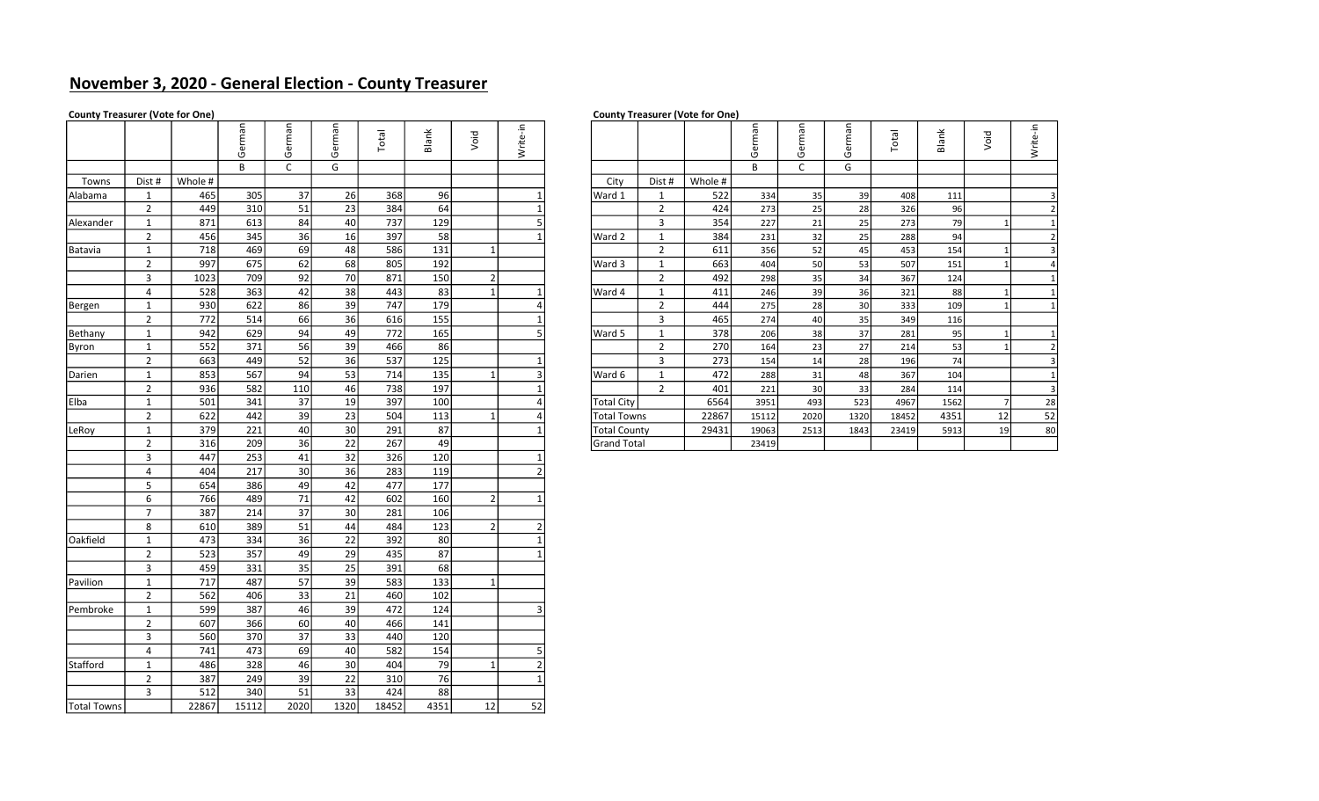# November 3, 2020 - General Election - County Treasurer

### County Treasurer (Vote for One) County Treasurer (Vote for One)

# B C G B C G Towns Dist # Whole # City Dist # Whole # Alabama | 1 | 465| 305| 37| 26| 368| 96| | 1| |Ward 1 | | 522| 334| 35| 39| 408| 111| | | 3 Alexander | 1 | 871| 613| 84| 40| 737| 129| | 5| | | 3 | 354| 227| 21| 25| 273| 79| 1| 1 Batavia | 1 | 718| 469| 69| 48| 586| 131| 1| | | | | 2 | 611| 356| 52| 45| 453| 154| 1| 3 Bergen | 1 | 930| 622| 86| 39| 747| 179| | | 4| | | | 2 | 444| 275| 28| 30| 333| 109| 1| 1 2 | 772| 514| 66| 36| 616| 155| | 1| | | 3 | 465| 274| 40| 35| 349| 116 Bethany | 1 | 942| 629| 94| 49| 772| 165| | | 5| |Ward 5 | 1 | 378| 206| 38| 37| 281| 95| 1| 1 Byron | 1 | 552| 371| 56| 39| 466| 86| | | | | | | 2 | 270| 164| 23| 27| 214| 53| 1| 2 Darien | 1 | 853| 567| 94| 53| 714| 135| 1| 3| |Ward 6 | 1 | 472| 288| 31| 48| 367| 104| | 1 Elba | 1 | 501| 341| 37| 19| 397| 100| | 4| |Total City| | 6564| 3951| 493| 523| 4967| 1562| 7| 28 LeRoy | 1 | 379| 221| 40| 30| 291| 87| | 1| |Total County | 29431| 19063| 2513| 1843| 23419| 5913| 19| 80 2 | 316| 209| 36| 22| 267| 49| | | | |Grand「otal | | | 23419 3 | 447| 253| 41| 32| 326| 120| | 1 4 | 404| 217| 30| 36| 283| 119| | 2 5 654 386 49 42 477 177 6 | 766| 489| 71| 42| 602| 160| 2| 1 7 387 214 37 30 281 106 8 | 610| 389| 51| 44| 484| 123| 2| 2| Oakfield | 1 | 473 | 334 | 36 | 22 | 392 | 80 | 1 | 1 2 | 523| 357| 49| 29| 435| 87| | 1 3 | 459| 331| 35| 25| 391| 68 Pavilion | 1 | 717| 487| 57| 39| 583| 133| 1 2 562 406 33 21 460 102 Pembroke | 1 | 599| 387| 46| 39| 472| 124| | 3 2 | 607| 366| 60| 40| 466| 141 3 | 560| 370| 37| 33| 440| 120 4 741 473 69 40 582 154 5 Stafford | 1 | 486 | 328 | 46 | 30 | 404 | 79 | 1 | 2 | 2 | 387| 249| 39| 22| 310| 76| | 1 3 512 340 51 33 424 88 Total Towns | 22867 15112 2020 1320 18452 4351 12 52

|     |         | ത<br>മ<br>O | σ<br>ω<br>ט | ma<br>৳<br>O | Total | Blank | Void | Write-in |                     |                |         | $\blacksquare$<br>ma<br>৳<br>O | Έq<br>$\overline{\mathbf{v}}$<br>יט | man<br>$\overline{\mathbf{v}}$<br>פ | Total | ănk<br>ä | Void | Write-in |
|-----|---------|-------------|-------------|--------------|-------|-------|------|----------|---------------------|----------------|---------|--------------------------------|-------------------------------------|-------------------------------------|-------|----------|------|----------|
|     |         | B           |             | G            |       |       |      |          |                     |                |         | B                              |                                     | G                                   |       |          |      |          |
| st# | Whole # |             |             |              |       |       |      |          | City                | Dist #         | Whole # |                                |                                     |                                     |       |          |      |          |
|     | 465     | 305         | 37          | 26           | 368   | -96 l |      |          | Ward 1              |                | 522     | 334                            | 35                                  | 39                                  | 408   | 111      |      |          |
|     | 449     | 310         | 51          | 23           | 384   | 64    |      |          |                     | $\overline{2}$ | 424     | 273                            | 25                                  | 28                                  | 326   | 96       |      |          |
|     | 871     | 613         | 84          | 40           | 737   | 129   |      |          |                     | 3              | 354     | 227                            | 21                                  | 25                                  | 273   | 79       |      |          |
|     | 456     | 345         | 36          | 16           | 397   | 58    |      |          | Ward 2              |                | 384     | 231                            | 32                                  | 25                                  | 288   | 94       |      |          |
|     | 718     | 469         | 69          | 48           | 586   | 131   |      |          |                     | $\overline{2}$ | 611     | 356                            | 52                                  | 45                                  | 453   | 154      |      |          |
|     | 997     | 675         | 62          | 68           | 805   | 192   |      |          | Ward 3              |                | 663     | 404                            | 50                                  | 53                                  | 507   | 151      |      |          |
|     | 1023    | 709         | 92          | 70           | 871   | 150   | 2    |          |                     | $\overline{2}$ | 492     | 298                            | 35                                  | 34                                  | 367   | 124      |      |          |
|     | 528     | 363         | 42          | 38           | 443   | 83    |      |          | Ward 4              |                | 411     | 246                            | 39                                  | 36                                  | 321   | 88       |      |          |
|     | 930     | 622         | 86          | 39           | 747   | 179   |      |          |                     | $\overline{2}$ | 444     | 275                            | 28                                  | 30                                  | 333   | 109      |      |          |
|     | 772     | 514         | 66          | 36           | 616   | 155   |      |          |                     | 3              | 465     | 274                            | 40                                  | 35                                  | 349   | 116      |      |          |
|     | 942     | 629         | 94          | 49           | 772   | 165   |      |          | Ward 5              |                | 378     | 206                            | 38                                  | 37                                  | 281   | 95       |      |          |
|     | 552     | 371         | 56          | 39           | 466   | 86    |      |          |                     | $\overline{2}$ | 270     | 164                            | 23                                  | 27                                  | 214   | 53       |      |          |
|     | 663     | 449         | 52          | 36           | 537   | 125   |      |          |                     | 3              | 273     | 154                            | 14                                  | 28                                  | 196   | 74       |      |          |
|     | 853     | 567         | 94          | 53           | 714   | 135   |      |          | Ward 6              |                | 472     | 288                            | 31                                  | 48                                  | 367   | 104      |      |          |
|     | 936     | 582         | 110         | 46           | 738   | 197   |      |          |                     | $\overline{2}$ | 401     | 221                            | 30                                  | 33                                  | 284   | 114      |      |          |
|     | 501     | 341         | 37          | 19           | 397   | 100   |      |          | <b>Total City</b>   |                | 6564    | 3951                           | 493                                 | 523                                 | 4967  | 1562     |      | 28       |
|     | 622     | 442         | 39          | 23           | 504   | 113   |      |          | <b>Total Towns</b>  |                | 22867   | 15112                          | 2020                                | 1320                                | 18452 | 4351     | 12   | 52       |
|     | 379     | 221         | 40          | 30           | 291   | 87    |      |          | <b>Total County</b> |                | 29431   | 19063                          | 2513                                | 1843                                | 23419 | 5913     | 19   | 80       |
|     | 316     | 209         | 36          | 22           | 267   | 49    |      |          | <b>Grand Total</b>  |                |         | 23419                          |                                     |                                     |       |          |      |          |
|     |         |             |             |              |       |       |      |          |                     |                |         |                                |                                     |                                     |       |          |      |          |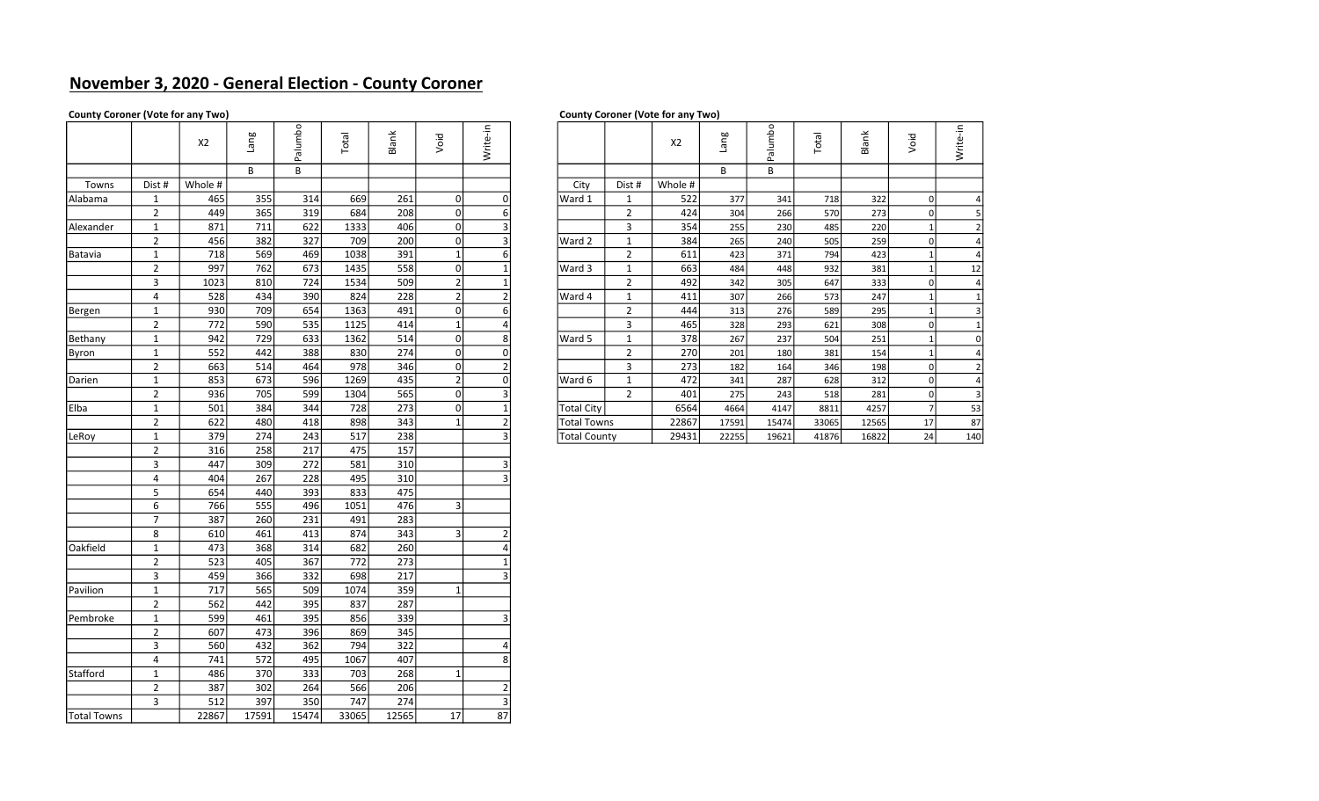# November 3, 2020 - General Election - County Coroner

### County Coroner (Vote for any Two) County Coroner (Vote for any Two)

| ,<br>------- |                |                  |       |                  |       |                   |                |                |                     |                |         |       |         |       |       |                |                |
|--------------|----------------|------------------|-------|------------------|-------|-------------------|----------------|----------------|---------------------|----------------|---------|-------|---------|-------|-------|----------------|----------------|
|              |                | X2               | lang  | Palumbo          | Total | Blank             | Void           | Write-in       |                     |                | X2      | lang  | Palumbo | Total | Blank | Void           | Write-in       |
|              |                |                  | B     | В                |       |                   |                |                |                     |                |         | В     | B       |       |       |                |                |
| Towns        | Dist #         | Whole #          |       |                  |       |                   |                |                | City                | Dist #         | Whole # |       |         |       |       |                |                |
| Alabama      | $\mathbf{1}$   | 465              | 355   | 314              | 669   | 261               | 0              | 0              | Ward 1              | $\mathbf{1}$   | 522     | 377   | 341     | 718   | 322   | 0              | 4              |
|              | $\overline{2}$ | 449              | 365   | 319              | 684   | 208               | 0              | 6              |                     | $\overline{2}$ | 424     | 304   | 266     | 570   | 273   | $\pmb{0}$      | 5              |
| Alexander    | $\mathbf{1}$   | 871              | 711   | 622              | 1333  | 406               | 0              | 3              |                     | 3              | 354     | 255   | 230     | 485   | 220   | $\mathbf{1}$   | $\overline{2}$ |
|              | $\overline{2}$ | 456              | 382   | 327              | 709   | 200               | $\overline{0}$ | 3              | Ward 2              | $\mathbf 1$    | 384     | 265   | 240     | 505   | 259   | $\pmb{0}$      | 4              |
| Batavia      | $\mathbf{1}$   | 718              | 569   | 469              | 1038  | 391               | $\mathbf{1}$   | $6 \mid$       |                     | $\mathbf 2$    | 611     | 423   | 371     | 794   | 423   | $\mathbf{1}$   | 4              |
|              | $\overline{2}$ | 997              | 762   | 673              | 1435  | 558               | 0              | 1              | Ward 3              | $\mathbf 1$    | 663     | 484   | 448     | 932   | 381   | $\mathbf{1}$   | 12             |
|              | 3              | 1023             | 810   | 724              | 1534  | 509               | 2              | $\mathbf{1}$   |                     | $\overline{2}$ | 492     | 342   | 305     | 647   | 333   | $\mathbf 0$    | $\overline{4}$ |
|              | $\overline{4}$ | 528              | 434   | 390              | 824   | 228               | $\overline{2}$ | $\overline{2}$ | Ward 4              | $\mathbf{1}$   | 411     | 307   | 266     | 573   | 247   | $\mathbf{1}$   | $\mathbf{1}$   |
| Bergen       | $\mathbf{1}$   | 930              | 709   | 654              | 1363  | 491               | 0              | 6              |                     | $\overline{2}$ | 444     | 313   | 276     | 589   | 295   | $\mathbf{1}$   | 3              |
|              | $\overline{2}$ | $\overline{772}$ | 590   | 535              | 1125  | 414               | $\mathbf{1}$   | 4              |                     | 3              | 465     | 328   | 293     | 621   | 308   | $\mathbf 0$    | 1              |
| Bethany      | $\mathbf{1}$   | 942              | 729   | 633              | 1362  | 514               | 0              | 8              | Ward 5              | $\mathbf 1$    | 378     | 267   | 237     | 504   | 251   | $\mathbf{1}$   | $\pmb{0}$      |
| Byron        | $\mathbf{1}$   | 552              | 442   | 388              | 830   | 274               | 0              | $\overline{0}$ |                     | $\mathbf 2$    | 270     | 201   | 180     | 381   | 154   | $\mathbf{1}$   | $\overline{4}$ |
|              | $\overline{2}$ | 663              | 514   | 464              | 978   | 346               | 0              | $\overline{2}$ |                     | $\mathbf{3}$   | 273     | 182   | 164     | 346   | 198   | $\mathbf 0$    | $\overline{2}$ |
| Darien       | $\mathbf{1}$   | 853              | 673   | 596              | 1269  | 435               | $\overline{2}$ | $\overline{0}$ | Ward 6              | $\mathbf{1}$   | 472     | 341   | 287     | 628   | 312   | $\mathbf 0$    | $\overline{4}$ |
|              | $\overline{2}$ | 936              | 705   | 599              | 1304  | 565               | $\overline{0}$ | 3              |                     | $\overline{2}$ | 401     | 275   | 243     | 518   | 281   | $\mathbf 0$    | 3              |
| Elba         | $\mathbf{1}$   | 501              | 384   | 344              | 728   | 273               | 0l             | $\mathbf{1}$   | <b>Total City</b>   |                | 6564    | 4664  | 4147    | 8811  | 4257  | $\overline{7}$ | 53             |
|              | $\overline{2}$ | 622              | 480   | 418              | 898   | 343               | 1              | $\overline{2}$ | <b>Total Towns</b>  |                | 22867   | 17591 | 15474   | 33065 | 12565 | 17             | 87             |
| LeRoy        | $\mathbf{1}$   | 379              | 274   | 243              | 517   | 238               |                | 3              | <b>Total County</b> |                | 29431   | 22255 | 19621   | 41876 | 16822 | 24             | 140            |
|              | $\overline{2}$ | 316              | 258   | $\overline{217}$ | 475   | $\frac{157}{157}$ |                |                |                     |                |         |       |         |       |       |                |                |
|              | $\overline{3}$ | 447              | 309   | 272              | 581   | 310               |                | 3              |                     |                |         |       |         |       |       |                |                |
|              | $\overline{4}$ | 404              | 267   | 228              | 495   | 310               |                | 3              |                     |                |         |       |         |       |       |                |                |
|              | 5              | 654              | 440   | 393              | 833   | 475               |                |                |                     |                |         |       |         |       |       |                |                |
|              | 6              | 766              | 555   | 496              | 1051  | 476               | $\overline{3}$ |                |                     |                |         |       |         |       |       |                |                |
|              | $\overline{7}$ | 387              | 260   | 231              | 491   | 283               |                |                |                     |                |         |       |         |       |       |                |                |
|              | 8              | 610              | 461   | 413              | 874   | 343               | 3              | $\mathcal{P}$  |                     |                |         |       |         |       |       |                |                |
| Oakfield     | $\mathbf{1}$   | 473              | 368   | 314              | 682   | 260               |                | $\Delta$       |                     |                |         |       |         |       |       |                |                |
|              | $\overline{2}$ | 523              | 405   | 367              | 772   | 273               |                | $\mathbf{1}$   |                     |                |         |       |         |       |       |                |                |
|              | 3              | 459              | 366   | 332              | 698   | 217               |                | 3              |                     |                |         |       |         |       |       |                |                |
| Pavilion     | $\mathbf{1}$   | 717              | 565   | 509              | 1074  | 359               | 1              |                |                     |                |         |       |         |       |       |                |                |
|              | $\overline{2}$ | 562              | 442   | 395              | 837   | 287               |                |                |                     |                |         |       |         |       |       |                |                |
| Pembroke     | $\mathbf 1$    | 599              | 461   | 395              | 856   | 339               |                | 3              |                     |                |         |       |         |       |       |                |                |
|              | $\overline{2}$ | 607              | 473   | 396              | 869   | 345               |                |                |                     |                |         |       |         |       |       |                |                |
|              | 3              | 560              | 432   | 362              | 794   | 322               |                | 4              |                     |                |         |       |         |       |       |                |                |
|              | $\overline{4}$ | 741              | 572   | 495              | 1067  | 407               |                | 8              |                     |                |         |       |         |       |       |                |                |
| Stafford     | $\mathbf{1}$   | 486              | 370   | 333              | 703   | 268               | 1              |                |                     |                |         |       |         |       |       |                |                |
|              | $\overline{2}$ | 387              | 302   | 264              | 566   | 206               |                | $\mathcal{P}$  |                     |                |         |       |         |       |       |                |                |
|              | $\overline{3}$ | 512              | 397   | 350              | 747   | 274               |                | $\overline{3}$ |                     |                |         |       |         |       |       |                |                |
| Total Towns  |                | 22867            | 17591 | 15474            | 33065 | 12565             | 17             | 87             |                     |                |         |       |         |       |       |                |                |

|      | X <sub>2</sub> | Pue           | $\circ$<br>alumb<br>௳ | otal        | Blank   | Void | Write-in |                     |                | X <sub>2</sub> | Puen  | alumbo<br>ő. | Total | Blank | öio<br>$\geq$ | ۽.<br>Write- |
|------|----------------|---------------|-----------------------|-------------|---------|------|----------|---------------------|----------------|----------------|-------|--------------|-------|-------|---------------|--------------|
|      |                | B             | В                     |             |         |      |          |                     |                |                | B     | В            |       |       |               |              |
| st # | Whole #        |               |                       |             |         |      |          | City                | Dist #         | Whole #        |       |              |       |       |               |              |
|      | 465            | 355           | 314                   | 669         | 261     |      |          | Ward 1              | 1              | 522            | 377   | 341          | 718   | 322   | $\Omega$      |              |
|      | 449            | 365           | 319                   | 684         | 208     |      |          |                     | $\overline{2}$ | 424            | 304   | 266          | 570   | 273   |               |              |
|      | 871            | 711           | 622                   | 1333        | 406     | 0    |          |                     | 3              | 354            | 255   | 230          | 485   | 220   |               |              |
|      | 456            | 382           | 327                   | 709         | 200     |      |          | Ward 2              | 1              | 384            | 265   | 240          | 505   | 259   |               |              |
|      | 718            | 569           | 469                   | 1038        | 391     |      |          |                     | $\overline{2}$ | 611            | 423   | 371          | 794   | 423   |               |              |
|      | 997            | 762           | 673                   | 1435        | 558     |      |          | Ward 3              | $\mathbf{1}$   | 663            | 484   | 448          | 932   | 381   |               | 12           |
|      | 1023           | 810           | 724                   | 1534        | 509     |      |          |                     | $\overline{2}$ | 492            | 342   | 305          | 647   | 333   |               |              |
|      | 528            | 434           | 390                   | 824         | 228     |      |          | Ward 4              | 1              | 411            | 307   | 266          | 573   | 247   |               |              |
|      | 930            | 709           | 654                   | 1363        | 491     |      |          |                     | $\overline{2}$ | 444            | 313   | 276          | 589   | 295   |               |              |
|      | 772            | 590           | 535                   | 1125        | 414     |      |          |                     | 3              | 465            | 328   | 293          | 621   | 308   |               |              |
|      | 942            | 729           | 633                   | 1362        | 514     |      |          | Ward 5              | $\mathbf{1}$   | 378            | 267   | 237          | 504   | 251   |               |              |
|      | 552            | 442           | 388                   | 830         | 274     | 01   |          |                     | $\overline{2}$ | 270            | 201   | 180          | 381   | 154   |               |              |
|      | 663            | 514           | 464                   | 978         | 346     | 0    |          |                     | 3              | 273            | 182   | 164          | 346   | 198   |               |              |
|      | 853            | 673           | 596                   | 1269        | 435     |      |          | Ward 6              | 1              | 472            | 341   | 287          | 628   | 312   |               |              |
|      | 936            | 705           | 599                   | 1304        | 565     |      |          |                     | $\overline{2}$ | 401            | 275   | 243          | 518   | 281   |               |              |
|      | 501            | 384           | 344                   | 728         | 273     |      |          | <b>Total City</b>   |                | 6564           | 4664  | 4147         | 8811  | 4257  |               | 53           |
|      | 622            | 480           | 418                   | 898         | 343     |      |          | <b>Total Towns</b>  |                | 22867          | 17591 | 15474        | 33065 | 12565 | 17            | 87           |
|      | 379            | 274           | 243                   | 517         | 238     |      |          | <b>Total County</b> |                | 29431          | 22255 | 19621        | 41876 | 16822 | 24            | 140          |
|      | $\sim$ $\sim$  | $\sim$ $\sim$ | $\sim$ $-$            | $\sim$ $ -$ | $- - -$ |      |          |                     |                |                |       |              |       |       |               |              |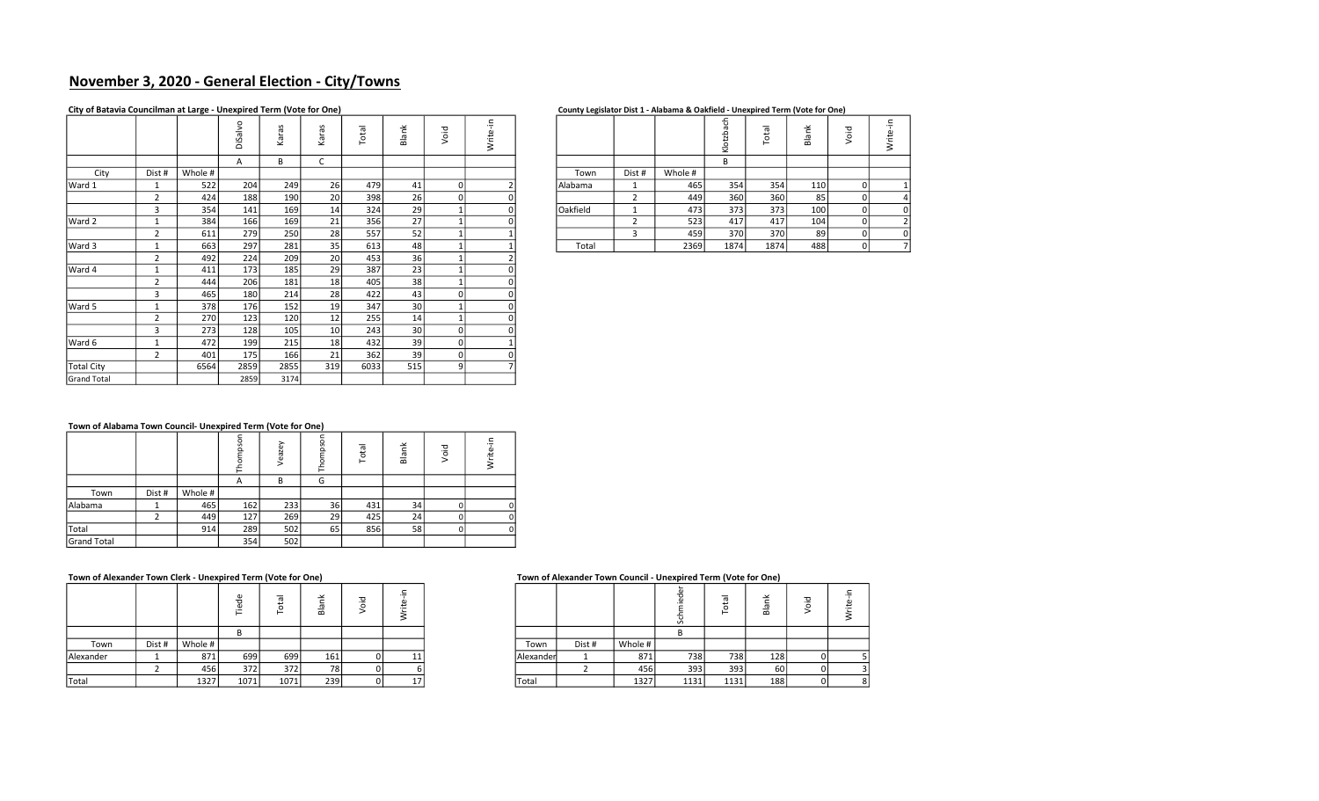# November 3, 2020 - General Election - City/Towns

### City of Batavia Councilman at Large - Unexpired Term (Vote for One)

|  | County Legislator Dist 1 - Alabama & Oakfield - Unexpired Term (Vote for One) |  |
|--|-------------------------------------------------------------------------------|--|
|--|-------------------------------------------------------------------------------|--|

|                    |                |         | DiSalvo | Karas | Karas           | Total | Blank | Void | Write-in     |          |                |         | Klotzbach | Total | Blank | Void           | Write-in       |
|--------------------|----------------|---------|---------|-------|-----------------|-------|-------|------|--------------|----------|----------------|---------|-----------|-------|-------|----------------|----------------|
|                    |                |         | A       | В     | C               |       |       |      |              |          |                |         | B         |       |       |                |                |
| City               | Dist #         | Whole # |         |       |                 |       |       |      |              | Town     | Dist #         | Whole # |           |       |       |                |                |
| Ward 1             | 1              | 522     | 204     | 249   | 26              | 479   | 41    | 0    |              | Alabama  | 1              | 465     | 354       | 354   | 110   | 0              |                |
|                    | $\overline{2}$ | 424     | 188     | 190   | 20 <sup>1</sup> | 398   | 26    |      |              |          | 2              | 449     | 360       | 360   | 85    | 0l             | 4              |
|                    | 3              | 354     | 141     | 169   | 14              | 324   | 29    |      |              | Oakfield | $\mathbf{1}$   | 473     | 373       | 373   | 100   | 01             | 0              |
| Ward 2             | 1              | 384     | 166     | 169   | 21              | 356   | 27    |      |              |          | $\overline{2}$ | 523     | 417       | 417   | 104   | $\overline{0}$ | $\overline{2}$ |
|                    | $\overline{2}$ | 611     | 279     | 250   | 28              | 557   | 52    |      |              |          | 3              | 459     | 370       | 370   | 89    | 0              | 0              |
| Ward 3             | 1              | 663     | 297     | 281   | 35              | 613   | 48    |      |              | Total    |                | 2369    | 1874      | 1874  | 488   | οI             | $\overline{7}$ |
|                    | $\overline{2}$ | 492     | 224     | 209   | 20              | 453   | 36    |      |              |          |                |         |           |       |       |                |                |
| Ward 4             | 1              | 411     | 173     | 185   | 29              | 387   | 23    |      | $\mathbf{0}$ |          |                |         |           |       |       |                |                |
|                    | $\overline{2}$ | 444     | 206     | 181   | 18              | 405   | 38    |      |              |          |                |         |           |       |       |                |                |
|                    | 3              | 465     | 180     | 214   | 28              | 422   | 43    | U    | 0            |          |                |         |           |       |       |                |                |
| Ward 5             | 1              | 378     | 176     | 152   | 19              | 347   | 30    |      |              |          |                |         |           |       |       |                |                |
|                    | $\overline{2}$ | 270     | 123     | 120   | 12              | 255   | 14    |      |              |          |                |         |           |       |       |                |                |
|                    | 3              | 273     | 128     | 105   | 10 <sup>1</sup> | 243   | 30    | 0    |              |          |                |         |           |       |       |                |                |
| Ward 6             | 1              | 472     | 199     | 215   | 18              | 432   | 39    | ΩI   |              |          |                |         |           |       |       |                |                |
|                    | $\overline{2}$ | 401     | 175     | 166   | 21              | 362   | 39    |      |              |          |                |         |           |       |       |                |                |
| <b>Total City</b>  |                | 6564    | 2859    | 2855  | 319             | 6033  | 515   | 9    |              |          |                |         |           |       |       |                |                |
| <b>Grand Total</b> |                |         | 2859    | 3174  |                 |       |       |      |              |          |                |         |           |       |       |                |                |
|                    |                |         |         |       |                 |       |       |      |              |          |                |         |           |       |       |                |                |

|         | $\sim$           |                 |                               |                    |   |  | . .      |        |         |        |          |                                    |    |    |
|---------|------------------|-----------------|-------------------------------|--------------------|---|--|----------|--------|---------|--------|----------|------------------------------------|----|----|
| $\circ$ | ∽<br>$\check{ }$ | $\mathbf{v}$    | $\overline{\sigma}$<br>ى<br>c | ≚<br>$\sigma$<br>ᅙ | ಕ |  |          |        |         | ∸<br>≂ | $\sigma$ | $\overline{\phantom{a}}$<br>ā<br>ᄒ | ਠ  | O. |
|         |                  |                 |                               |                    |   |  |          |        |         |        |          |                                    |    |    |
|         |                  |                 |                               |                    |   |  | Town     | Dist # | Whole # |        |          |                                    |    |    |
| 204     | 249              | 26              | 479                           |                    |   |  | Alabama  |        | 465     | 354    | 354      | 110                                |    |    |
| 188     | 190              | 20              | 398                           | 26                 |   |  |          |        | 449     | 360    | 360      | 85                                 |    |    |
| 141     | 169              | 14 <sub>1</sub> | 324                           | 29                 |   |  | Oakfield |        | 473     | 373    | 373      | 100                                |    |    |
| 166     | 169              | 21              | 356                           | $\mathcal{L}$      |   |  |          |        | 523     | 417    | 417      | 104                                |    |    |
| 279     | 250              | 28              | 557                           | 52                 |   |  |          |        | 459     | 370    | 370      | 89                                 |    |    |
| 297     | 281              | 35              | 613                           | 48                 |   |  | Total    |        | 2369    | 1874   | 1874     | 488                                | 01 |    |

### Town of Alabama Town Council- Unexpired Term (Vote for One)

|                    |        |         | $\circ$      | /eazey | ⊢  | otal<br>⊢ | Ť<br>Bla | 흐<br>ō | .은 |
|--------------------|--------|---------|--------------|--------|----|-----------|----------|--------|----|
|                    |        |         | $\mathsf{A}$ | B      | G  |           |          |        |    |
| Town               | Dist # | Whole # |              |        |    |           |          |        |    |
| Alabama            |        | 465     | 162          | 233    | 36 | 431       | 34       |        |    |
|                    | ∽      | 449     | 127          | 269    | 29 | 425       | 24       |        |    |
| Total              |        | 914     | 289          | 502    | 65 | 856       | 58       |        |    |
| <b>Grand Total</b> |        |         | 354          | 502    |    |           |          |        |    |

### Town of Alexander Town Clerk - Unexpired Term (Vote for One) Town of Alexander Town Council - Unexpired Term (Vote for One)

|           |        |         | ᠊᠇<br>._<br>− |      | $\overline{\phantom{a}}$<br>$\bf{m}$ | $\overline{\phantom{a}}$ |           |        |         |      | -    | മ                |  |
|-----------|--------|---------|---------------|------|--------------------------------------|--------------------------|-----------|--------|---------|------|------|------------------|--|
|           |        |         |               |      |                                      |                          |           |        |         |      |      |                  |  |
| Town      | Dist # | Whole # |               |      |                                      |                          | Town      | Dist # | Whole # |      |      |                  |  |
| Alexander |        | 871     | 699           | 699  | 161                                  |                          | Alexander |        | 871     | 738  | 738  | 128 <sub>1</sub> |  |
|           |        | 456     | 372           | 372  | 78 I                                 |                          |           |        | 456     | 393  | 393  | 60               |  |
| Total     |        | 1327    | 1071          | 1071 | 239                                  |                          | Total     |        | 1327    | 1131 | 1131 | 188              |  |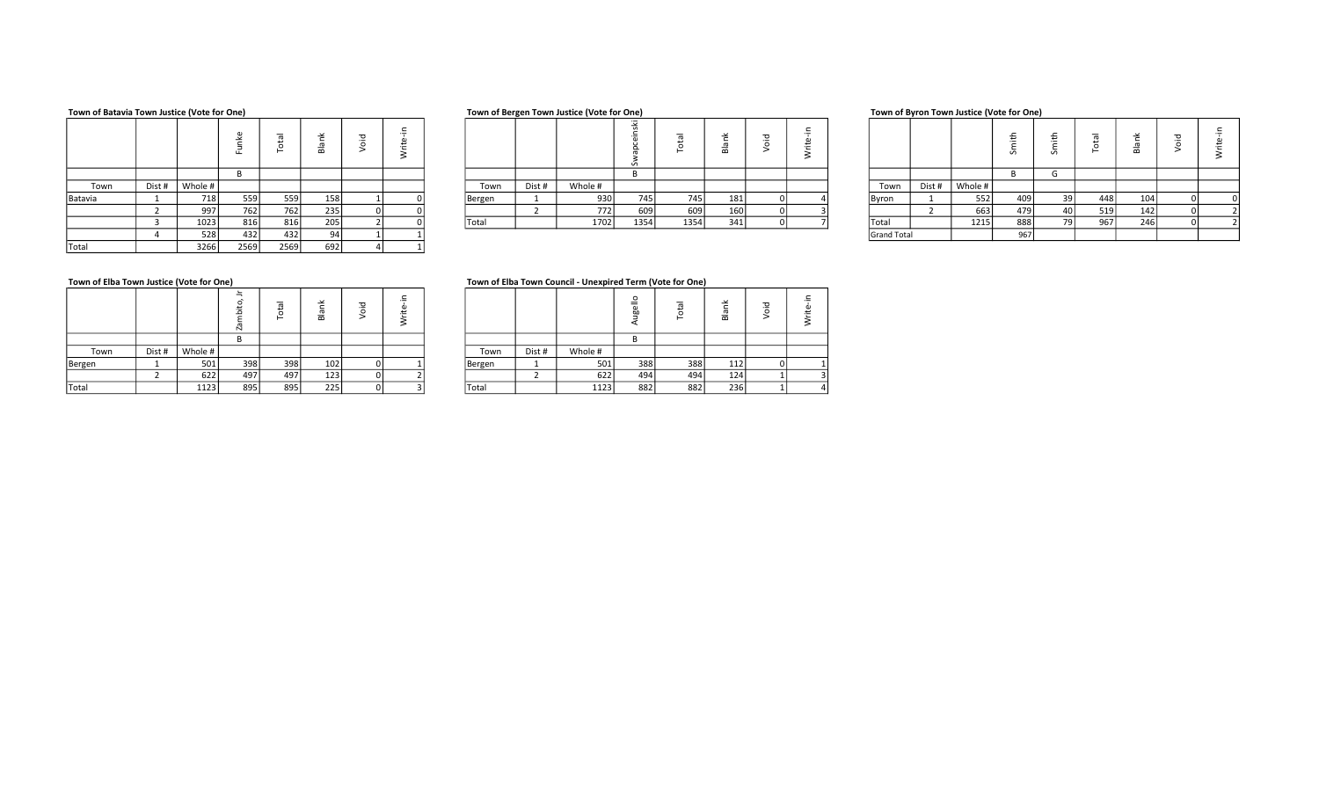### Town of Batavia Town Justice (Vote for One) Town of Bergen Town Justice (Vote for One) Town of Bergen Town Justice (Vote for One) Town of Byron Town Justice (Vote for One)

|         |        |         |      | $\overline{\sigma}$<br>ىد<br>⊢ | ≃   | ರ | -<br>∼ |        |        |         | 空<br>$\sim$ | -<br>⊢ | $\check{}$<br>B | $\overline{\phantom{a}}$ |  |              |        |         |     |
|---------|--------|---------|------|--------------------------------|-----|---|--------|--------|--------|---------|-------------|--------|-----------------|--------------------------|--|--------------|--------|---------|-----|
|         |        |         |      |                                |     |   |        |        |        |         |             |        |                 |                          |  |              |        |         |     |
| Town    | Dist # | Whole # |      |                                |     |   |        | Town   | Dist # | Whole # |             |        |                 |                          |  | Town         | Dist # | Whole # |     |
| Batavia |        | 718     | 559  | 559                            | 158 |   |        | Bergen |        | 930     | 745         | 745    | 181             |                          |  | <b>Byron</b> |        | 552     | 409 |
|         |        | 9971    | 762  | 762                            | 235 |   |        |        |        | 772     | 609         | 609    | 160             |                          |  |              |        | 663     | 479 |
|         |        | 1023    | 816  | 816                            | 205 |   |        | Total  |        | 1702    | 1354        | 1354   | 341             |                          |  | Total        |        | 1215    | 888 |
|         |        | 528     | 432  | 432                            | 94  |   |        |        |        |         |             |        |                 |                          |  | Grand Total  |        |         | 967 |
| Total   |        | 3266    | 2569 | 2569                           | 692 |   |        |        |        |         |             |        |                 |                          |  |              |        |         |     |

|      |        |         | ட   | -   | $\ddot{\phantom{1}}$<br>$\mathbf{m}$ | ._ |              |          |         | <u>iv</u><br>Ŵ, |      | œ   |  |              |        |         | S     | $\sim$ |
|------|--------|---------|-----|-----|--------------------------------------|----|--------------|----------|---------|-----------------|------|-----|--|--------------|--------|---------|-------|--------|
|      |        |         |     |     |                                      |    |              |          |         |                 |      |     |  |              |        |         |       |        |
| Town | Dist # | Whole # |     |     |                                      |    | Town         | Dist #   | Whole # |                 |      |     |  | Town         | Dist # | Whole # |       |        |
|      |        | 718     | 559 | 559 | 158                                  |    | Bergen       | <b>.</b> | 930     | 745             | 745  | 181 |  | Byron        |        | 552     | ا 409 |        |
|      |        | 997     | 762 | 762 | 235                                  |    |              |          | 772     | 609             | 609  | 160 |  |              |        | 663     | 479   |        |
|      |        | 1023    | 816 | 816 | 205                                  |    | <b>Total</b> |          | 1702    | 1354            | 1354 | 341 |  | <b>Total</b> |        | 1215    | 888   |        |
|      |        |         |     |     |                                      |    |              |          |         |                 |      |     |  |              |        |         |       |        |

|         |        |         |     |     |     |  |        |       |         |           |      |     |  |             |        |         | ≛<br>ှ         | ᅩ<br>._ | $\cdots$ |     |  |
|---------|--------|---------|-----|-----|-----|--|--------|-------|---------|-----------|------|-----|--|-------------|--------|---------|----------------|---------|----------|-----|--|
|         |        |         |     |     |     |  |        |       |         |           |      |     |  |             |        |         |                |         |          |     |  |
| Town    | Dist # | Whole # |     |     |     |  | Town   | Dist# | Whole # |           |      |     |  | Town        | Dist # | Whole # |                |         |          |     |  |
| Batavia |        | 718     | 559 | 559 | 158 |  | Bergen |       | 930     | 745       | 745  | 181 |  | Byron       |        | 552     | 409            | 39      | 448      | 104 |  |
|         |        | 997     | 762 | 762 | 235 |  |        |       | 7721    | $C\cap C$ | 609  | 160 |  |             |        | 663     | 479            | 40 l    | 519      | 142 |  |
|         |        | 1023    | 816 | 816 | 205 |  | Total  |       | 1702    | 1354      | 1354 | 341 |  | 'Total      |        | 1215    | 888            | 79 l    | 967      | 246 |  |
|         |        | 528     | 432 | 432 | 94  |  |        |       |         |           |      |     |  | Grand Total |        |         | Q <sub>6</sub> |         |          |     |  |

|        |        |         | ä<br>᠊ᡣᠦ<br>$\mathbf{N}$ | 편<br>$\circ$<br>ー | ⊻<br>Вlа | ᢦ<br>ō | ₽ |        |        |         | C<br>e. |
|--------|--------|---------|--------------------------|-------------------|----------|--------|---|--------|--------|---------|---------|
|        |        |         |                          |                   |          |        |   |        |        |         | B       |
| Town   | Dist # | Whole # |                          |                   |          |        |   | Town   | Dist # | Whole # |         |
| Bergen |        | 501     | 398                      | 398               | 102      |        |   | Bergen |        | 501     |         |
|        |        | 622     | 497                      | 497               | 123      |        |   |        |        | 622     |         |
| Total  |        | 1123    | 895                      | 895               | 225      |        |   | Total  |        | 1123    |         |

### Town of Elba Town Justice (Vote for One) Town of Elba Town Ouncil - Unexpired Term (Vote for One)

|        |        |         |     | -   | ≃   | ᢦ |  |        |        |         | ັບ<br>=<br>hn | -   | $\overline{\phantom{a}}$<br>$\bf{m}$ |  |
|--------|--------|---------|-----|-----|-----|---|--|--------|--------|---------|---------------|-----|--------------------------------------|--|
|        |        |         |     |     |     |   |  |        |        |         |               |     |                                      |  |
| Town   | Dist # | Whole # |     |     |     |   |  | Town   | Dist # | Whole # |               |     |                                      |  |
| Bergen |        | 501     | 398 | 398 | 102 |   |  | Bergen |        | 501     | 388           | 388 | 112                                  |  |
|        |        | 622     | 497 | 497 | 123 |   |  |        |        | 622     | 494           | 494 | 124                                  |  |
| Total  |        | 1123    | 895 | 895 | 225 |   |  | Total  |        | 1123    | 882           | 882 | 236                                  |  |